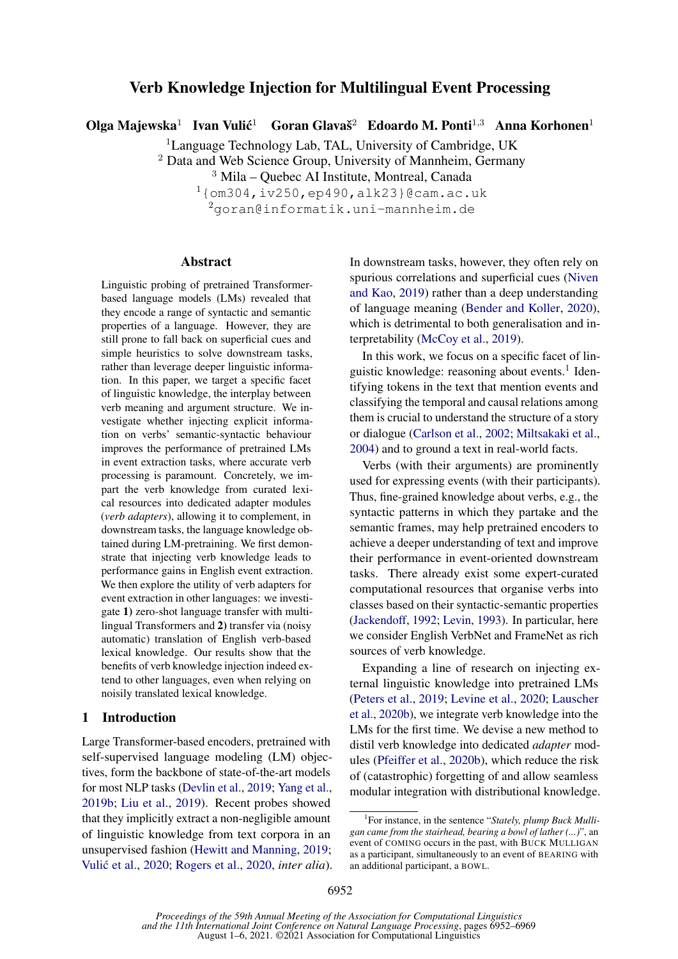# Verb Knowledge Injection for Multilingual Event Processing

Olga Majewska<sup>1</sup> Ivan Vulić<sup>1</sup> Goran Glavaš<sup>2</sup> Edoardo M. Ponti<sup>1,3</sup> Anna Korhonen<sup>1</sup>

<sup>1</sup>Language Technology Lab, TAL, University of Cambridge, UK

<sup>2</sup> Data and Web Science Group, University of Mannheim, Germany

<sup>3</sup> Mila – Quebec AI Institute, Montreal, Canada

 $1$ {om304,iv250,ep490,alk23}@cam.ac.uk

<sup>2</sup>goran@informatik.uni-mannheim.de

### Abstract

Linguistic probing of pretrained Transformerbased language models (LMs) revealed that they encode a range of syntactic and semantic properties of a language. However, they are still prone to fall back on superficial cues and simple heuristics to solve downstream tasks, rather than leverage deeper linguistic information. In this paper, we target a specific facet of linguistic knowledge, the interplay between verb meaning and argument structure. We investigate whether injecting explicit information on verbs' semantic-syntactic behaviour improves the performance of pretrained LMs in event extraction tasks, where accurate verb processing is paramount. Concretely, we impart the verb knowledge from curated lexical resources into dedicated adapter modules (*verb adapters*), allowing it to complement, in downstream tasks, the language knowledge obtained during LM-pretraining. We first demonstrate that injecting verb knowledge leads to performance gains in English event extraction. We then explore the utility of verb adapters for event extraction in other languages: we investigate 1) zero-shot language transfer with multilingual Transformers and 2) transfer via (noisy automatic) translation of English verb-based lexical knowledge. Our results show that the benefits of verb knowledge injection indeed extend to other languages, even when relying on noisily translated lexical knowledge.

#### 1 Introduction

Large Transformer-based encoders, pretrained with self-supervised language modeling (LM) objectives, form the backbone of state-of-the-art models for most NLP tasks [\(Devlin et al.,](#page-9-0) [2019;](#page-9-0) [Yang et al.,](#page-13-0) [2019b;](#page-13-0) [Liu et al.,](#page-11-0) [2019\)](#page-11-0). Recent probes showed that they implicitly extract a non-negligible amount of linguistic knowledge from text corpora in an unsupervised fashion [\(Hewitt and Manning,](#page-10-0) [2019;](#page-10-0) Vulić et al., [2020;](#page-13-1) [Rogers et al.,](#page-12-0) [2020,](#page-12-0) *inter alia*). In downstream tasks, however, they often rely on spurious correlations and superficial cues [\(Niven](#page-12-1) [and Kao,](#page-12-1) [2019\)](#page-12-1) rather than a deep understanding of language meaning [\(Bender and Koller,](#page-9-1) [2020\)](#page-9-1), which is detrimental to both generalisation and interpretability [\(McCoy et al.,](#page-11-1) [2019\)](#page-11-1).

In this work, we focus on a specific facet of lin-guistic knowledge: reasoning about events.<sup>[1](#page-0-0)</sup> Identifying tokens in the text that mention events and classifying the temporal and causal relations among them is crucial to understand the structure of a story or dialogue [\(Carlson et al.,](#page-9-2) [2002;](#page-9-2) [Miltsakaki et al.,](#page-11-2) [2004\)](#page-11-2) and to ground a text in real-world facts.

Verbs (with their arguments) are prominently used for expressing events (with their participants). Thus, fine-grained knowledge about verbs, e.g., the syntactic patterns in which they partake and the semantic frames, may help pretrained encoders to achieve a deeper understanding of text and improve their performance in event-oriented downstream tasks. There already exist some expert-curated computational resources that organise verbs into classes based on their syntactic-semantic properties [\(Jackendoff,](#page-10-1) [1992;](#page-10-1) [Levin,](#page-11-3) [1993\)](#page-11-3). In particular, here we consider English VerbNet and FrameNet as rich sources of verb knowledge.

Expanding a line of research on injecting external linguistic knowledge into pretrained LMs [\(Peters et al.,](#page-12-2) [2019;](#page-12-2) [Levine et al.,](#page-11-4) [2020;](#page-11-4) [Lauscher](#page-11-5) [et al.,](#page-11-5) [2020b\)](#page-11-5), we integrate verb knowledge into the LMs for the first time. We devise a new method to distil verb knowledge into dedicated *adapter* modules [\(Pfeiffer et al.,](#page-12-3) [2020b\)](#page-12-3), which reduce the risk of (catastrophic) forgetting of and allow seamless modular integration with distributional knowledge.

<span id="page-0-0"></span><sup>&</sup>lt;sup>1</sup>For instance, in the sentence "Stately, plump Buck Mulli*gan came from the stairhead, bearing a bowl of lather (...)*", an event of COMING occurs in the past, with BUCK MULLIGAN as a participant, simultaneously to an event of BEARING with an additional participant, a BOWL.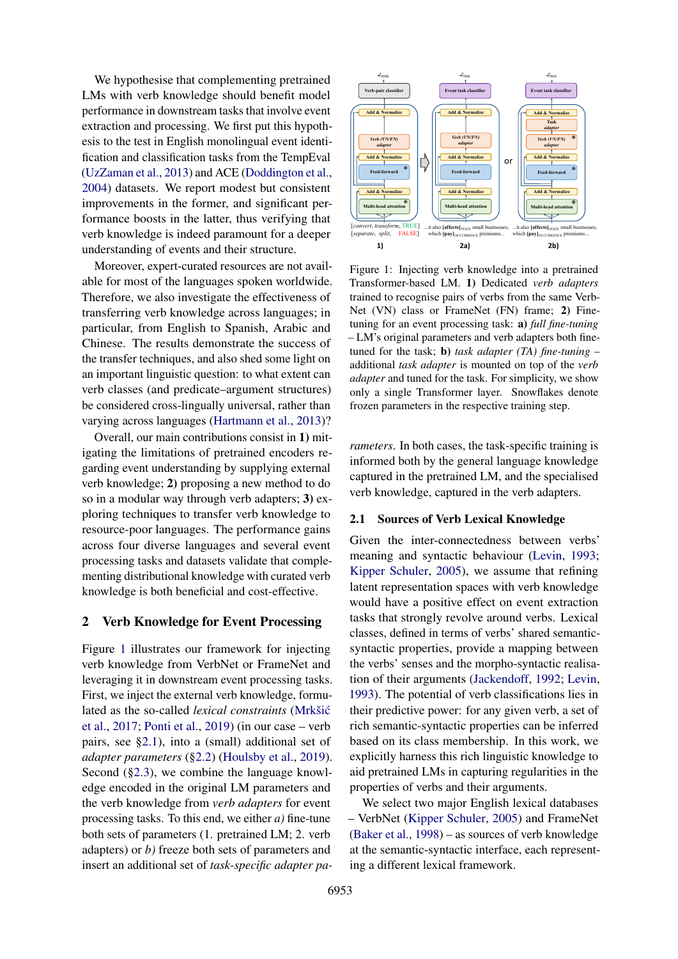We hypothesise that complementing pretrained LMs with verb knowledge should benefit model performance in downstream tasks that involve event extraction and processing. We first put this hypothesis to the test in English monolingual event identification and classification tasks from the TempEval [\(UzZaman et al.,](#page-13-2) [2013\)](#page-13-2) and ACE [\(Doddington et al.,](#page-9-3) [2004\)](#page-9-3) datasets. We report modest but consistent improvements in the former, and significant performance boosts in the latter, thus verifying that verb knowledge is indeed paramount for a deeper understanding of events and their structure.

Moreover, expert-curated resources are not available for most of the languages spoken worldwide. Therefore, we also investigate the effectiveness of transferring verb knowledge across languages; in particular, from English to Spanish, Arabic and Chinese. The results demonstrate the success of the transfer techniques, and also shed some light on an important linguistic question: to what extent can verb classes (and predicate–argument structures) be considered cross-lingually universal, rather than varying across languages [\(Hartmann et al.,](#page-10-2) [2013\)](#page-10-2)?

Overall, our main contributions consist in 1) mitigating the limitations of pretrained encoders regarding event understanding by supplying external verb knowledge; 2) proposing a new method to do so in a modular way through verb adapters; 3) exploring techniques to transfer verb knowledge to resource-poor languages. The performance gains across four diverse languages and several event processing tasks and datasets validate that complementing distributional knowledge with curated verb knowledge is both beneficial and cost-effective.

#### <span id="page-1-2"></span>2 Verb Knowledge for Event Processing

Figure [1](#page-1-0) illustrates our framework for injecting verb knowledge from VerbNet or FrameNet and leveraging it in downstream event processing tasks. First, we inject the external verb knowledge, formulated as the so-called *lexical constraints* [\(Mrkšic´](#page-11-6) [et al.,](#page-11-6) [2017;](#page-11-6) [Ponti et al.,](#page-12-4) [2019\)](#page-12-4) (in our case – verb pairs, see [§2.1\)](#page-1-1), into a (small) additional set of *adapter parameters* ([§2.2\)](#page-2-0) [\(Houlsby et al.,](#page-10-3) [2019\)](#page-10-3). Second ([§2.3\)](#page-3-0), we combine the language knowledge encoded in the original LM parameters and the verb knowledge from *verb adapters* for event processing tasks. To this end, we either *a)* fine-tune both sets of parameters (1. pretrained LM; 2. verb adapters) or *b)* freeze both sets of parameters and insert an additional set of *task-specific adapter pa-*

<span id="page-1-0"></span>

Figure 1: Injecting verb knowledge into a pretrained Transformer-based LM. 1) Dedicated *verb adapters* trained to recognise pairs of verbs from the same Verb-Net (VN) class or FrameNet (FN) frame; 2) Finetuning for an event processing task: a) *full fine-tuning* – LM's original parameters and verb adapters both finetuned for the task; b) *task adapter (TA) fine-tuning* – additional *task adapter* is mounted on top of the *verb adapter* and tuned for the task. For simplicity, we show only a single Transformer layer. Snowflakes denote frozen parameters in the respective training step.

*rameters*. In both cases, the task-specific training is informed both by the general language knowledge captured in the pretrained LM, and the specialised verb knowledge, captured in the verb adapters.

#### <span id="page-1-1"></span>2.1 Sources of Verb Lexical Knowledge

Given the inter-connectedness between verbs' meaning and syntactic behaviour [\(Levin,](#page-11-3) [1993;](#page-11-3) [Kipper Schuler,](#page-11-7) [2005\)](#page-11-7), we assume that refining latent representation spaces with verb knowledge would have a positive effect on event extraction tasks that strongly revolve around verbs. Lexical classes, defined in terms of verbs' shared semanticsyntactic properties, provide a mapping between the verbs' senses and the morpho-syntactic realisation of their arguments [\(Jackendoff,](#page-10-1) [1992;](#page-10-1) [Levin,](#page-11-3) [1993\)](#page-11-3). The potential of verb classifications lies in their predictive power: for any given verb, a set of rich semantic-syntactic properties can be inferred based on its class membership. In this work, we explicitly harness this rich linguistic knowledge to aid pretrained LMs in capturing regularities in the properties of verbs and their arguments.

We select two major English lexical databases – VerbNet [\(Kipper Schuler,](#page-11-7) [2005\)](#page-11-7) and FrameNet [\(Baker et al.,](#page-9-4) [1998\)](#page-9-4) – as sources of verb knowledge at the semantic-syntactic interface, each representing a different lexical framework.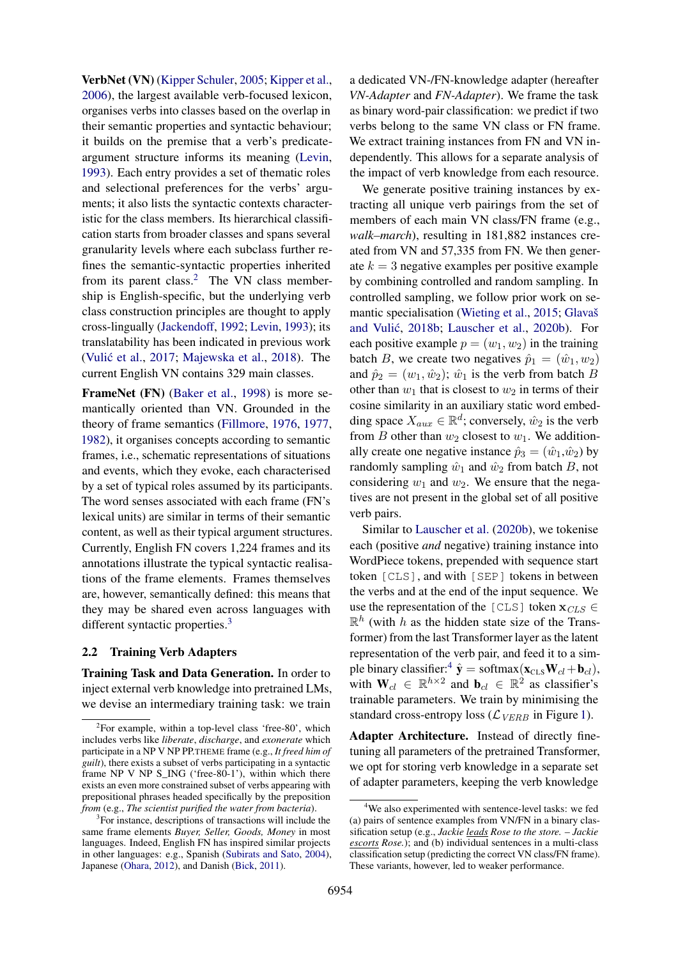VerbNet (VN) [\(Kipper Schuler,](#page-11-7) [2005;](#page-11-7) [Kipper et al.,](#page-11-8) [2006\)](#page-11-8), the largest available verb-focused lexicon, organises verbs into classes based on the overlap in their semantic properties and syntactic behaviour; it builds on the premise that a verb's predicateargument structure informs its meaning [\(Levin,](#page-11-3) [1993\)](#page-11-3). Each entry provides a set of thematic roles and selectional preferences for the verbs' arguments; it also lists the syntactic contexts characteristic for the class members. Its hierarchical classification starts from broader classes and spans several granularity levels where each subclass further refines the semantic-syntactic properties inherited from its parent class.<sup>[2](#page-2-1)</sup> The VN class membership is English-specific, but the underlying verb class construction principles are thought to apply cross-lingually [\(Jackendoff,](#page-10-1) [1992;](#page-10-1) [Levin,](#page-11-3) [1993\)](#page-11-3); its translatability has been indicated in previous work (Vulić et al., [2017;](#page-13-3) [Majewska et al.,](#page-11-9) [2018\)](#page-11-9). The current English VN contains 329 main classes.

FrameNet (FN) [\(Baker et al.,](#page-9-4) [1998\)](#page-9-4) is more semantically oriented than VN. Grounded in the theory of frame semantics [\(Fillmore,](#page-9-5) [1976,](#page-9-5) [1977,](#page-10-4) [1982\)](#page-10-5), it organises concepts according to semantic frames, i.e., schematic representations of situations and events, which they evoke, each characterised by a set of typical roles assumed by its participants. The word senses associated with each frame (FN's lexical units) are similar in terms of their semantic content, as well as their typical argument structures. Currently, English FN covers 1,224 frames and its annotations illustrate the typical syntactic realisations of the frame elements. Frames themselves are, however, semantically defined: this means that they may be shared even across languages with different syntactic properties.<sup>[3](#page-2-2)</sup>

#### <span id="page-2-0"></span>2.2 Training Verb Adapters

Training Task and Data Generation. In order to inject external verb knowledge into pretrained LMs, we devise an intermediary training task: we train

a dedicated VN-/FN-knowledge adapter (hereafter *VN-Adapter* and *FN-Adapter*). We frame the task as binary word-pair classification: we predict if two verbs belong to the same VN class or FN frame. We extract training instances from FN and VN independently. This allows for a separate analysis of the impact of verb knowledge from each resource.

We generate positive training instances by extracting all unique verb pairings from the set of members of each main VN class/FN frame (e.g., *walk–march*), resulting in 181,882 instances created from VN and 57,335 from FN. We then generate  $k = 3$  negative examples per positive example by combining controlled and random sampling. In controlled sampling, we follow prior work on semantic specialisation [\(Wieting et al.,](#page-13-4) [2015;](#page-13-4) [Glavaš](#page-10-6) and Vulić, [2018b;](#page-10-6) [Lauscher et al.,](#page-11-5) [2020b\)](#page-11-5). For each positive example  $p = (w_1, w_2)$  in the training batch B, we create two negatives  $\hat{p}_1 = (\hat{w}_1, w_2)$ and  $\hat{p}_2 = (w_1, \hat{w}_2)$ ;  $\hat{w}_1$  is the verb from batch B other than  $w_1$  that is closest to  $w_2$  in terms of their cosine similarity in an auxiliary static word embedding space  $X_{aux} \in \mathbb{R}^d$ ; conversely,  $\hat{w}_2$  is the verb from  $B$  other than  $w_2$  closest to  $w_1$ . We additionally create one negative instance  $\hat{p}_3 = (\hat{w}_1, \hat{w}_2)$  by randomly sampling  $\hat{w}_1$  and  $\hat{w}_2$  from batch B, not considering  $w_1$  and  $w_2$ . We ensure that the negatives are not present in the global set of all positive verb pairs.

Similar to [Lauscher et al.](#page-11-5) [\(2020b\)](#page-11-5), we tokenise each (positive *and* negative) training instance into WordPiece tokens, prepended with sequence start token [CLS], and with [SEP] tokens in between the verbs and at the end of the input sequence. We use the representation of the [CLS] token  $\mathbf{x}_{CLS} \in$  $\mathbb{R}^h$  (with h as the hidden state size of the Transformer) from the last Transformer layer as the latent representation of the verb pair, and feed it to a sim-ple binary classifier:<sup>[4](#page-2-3)</sup>  $\hat{\mathbf{y}} = \text{softmax}(\mathbf{x}_{\text{CLS}}\mathbf{W}_{cl} + \mathbf{b}_{cl}),$ with  $W_{cl} \in \mathbb{R}^{h \times 2}$  and  $\mathbf{b}_{cl} \in \mathbb{R}^2$  as classifier's trainable parameters. We train by minimising the standard cross-entropy loss ( $\mathcal{L}_{VERB}$  in Figure [1\)](#page-1-0).

Adapter Architecture. Instead of directly finetuning all parameters of the pretrained Transformer, we opt for storing verb knowledge in a separate set of adapter parameters, keeping the verb knowledge

<span id="page-2-1"></span><sup>&</sup>lt;sup>2</sup>For example, within a top-level class 'free-80', which includes verbs like *liberate*, *discharge*, and *exonerate* which participate in a NP V NP PP.THEME frame (e.g., *It freed him of guilt*), there exists a subset of verbs participating in a syntactic frame NP V NP S\_ING ('free-80-1'), within which there exists an even more constrained subset of verbs appearing with prepositional phrases headed specifically by the preposition *from* (e.g., *The scientist purified the water from bacteria*).

<span id="page-2-2"></span><sup>&</sup>lt;sup>3</sup>For instance, descriptions of transactions will include the same frame elements *Buyer, Seller, Goods, Money* in most languages. Indeed, English FN has inspired similar projects in other languages: e.g., Spanish [\(Subirats and Sato,](#page-12-5) [2004\)](#page-12-5), Japanese [\(Ohara,](#page-12-6) [2012\)](#page-12-6), and Danish [\(Bick,](#page-9-6) [2011\)](#page-9-6).

<span id="page-2-3"></span><sup>&</sup>lt;sup>4</sup>We also experimented with sentence-level tasks: we fed (a) pairs of sentence examples from VN/FN in a binary classification setup (e.g., *Jackie leads Rose to the store. – Jackie escorts Rose.*); and (b) individual sentences in a multi-class classification setup (predicting the correct VN class/FN frame). These variants, however, led to weaker performance.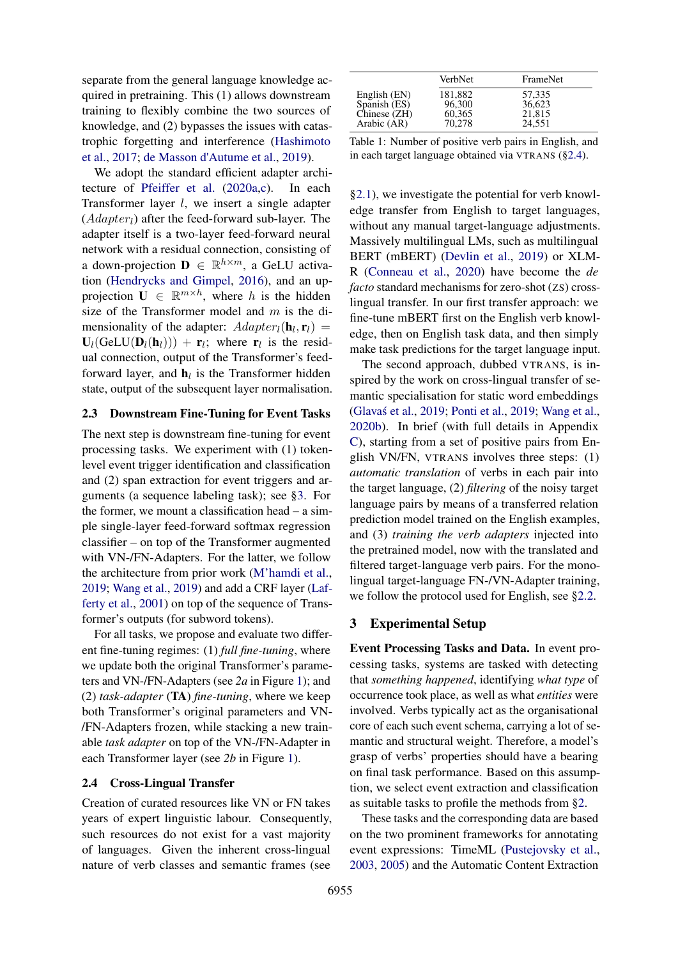separate from the general language knowledge acquired in pretraining. This (1) allows downstream training to flexibly combine the two sources of knowledge, and (2) bypasses the issues with catastrophic forgetting and interference [\(Hashimoto](#page-10-7) [et al.,](#page-10-7) [2017;](#page-10-7) [de Masson d'Autume et al.,](#page-9-7) [2019\)](#page-9-7).

We adopt the standard efficient adapter architecture of [Pfeiffer et al.](#page-12-7) [\(2020a](#page-12-7)[,c\)](#page-12-8). In each Transformer layer l, we insert a single adapter  $(Adapter<sub>l</sub>)$  after the feed-forward sub-layer. The adapter itself is a two-layer feed-forward neural network with a residual connection, consisting of a down-projection  $\mathbf{D} \in \mathbb{R}^{h \times m}$ , a GeLU activation [\(Hendrycks and Gimpel,](#page-10-8) [2016\)](#page-10-8), and an upprojection  $\mathbf{U} \in \mathbb{R}^{m \times h}$ , where h is the hidden size of the Transformer model and m is the dimensionality of the adapter:  $Adapter_l(\mathbf{h}_l, \mathbf{r}_l)$  =  $U_l(GeLU(D_l(h_l))) + r_l$ ; where  $r_l$  is the residual connection, output of the Transformer's feedforward layer, and  $\mathbf{h}_l$  is the Transformer hidden state, output of the subsequent layer normalisation.

#### <span id="page-3-0"></span>2.3 Downstream Fine-Tuning for Event Tasks

The next step is downstream fine-tuning for event processing tasks. We experiment with (1) tokenlevel event trigger identification and classification and (2) span extraction for event triggers and arguments (a sequence labeling task); see [§3.](#page-3-1) For the former, we mount a classification head – a simple single-layer feed-forward softmax regression classifier – on top of the Transformer augmented with VN-/FN-Adapters. For the latter, we follow the architecture from prior work [\(M'hamdi et al.,](#page-11-10) [2019;](#page-11-10) [Wang et al.,](#page-13-5) [2019\)](#page-13-5) and add a CRF layer [\(Laf](#page-11-11)[ferty et al.,](#page-11-11) [2001\)](#page-11-11) on top of the sequence of Transformer's outputs (for subword tokens).

For all tasks, we propose and evaluate two different fine-tuning regimes: (1) *full fine-tuning*, where we update both the original Transformer's parameters and VN-/FN-Adapters (see *2a* in Figure [1\)](#page-1-0); and (2) *task-adapter* (TA) *fine-tuning*, where we keep both Transformer's original parameters and VN- /FN-Adapters frozen, while stacking a new trainable *task adapter* on top of the VN-/FN-Adapter in each Transformer layer (see *2b* in Figure [1\)](#page-1-0).

### <span id="page-3-2"></span>2.4 Cross-Lingual Transfer

Creation of curated resources like VN or FN takes years of expert linguistic labour. Consequently, such resources do not exist for a vast majority of languages. Given the inherent cross-lingual nature of verb classes and semantic frames (see

<span id="page-3-3"></span>

|              | VerbNet | FrameNet |  |
|--------------|---------|----------|--|
| English (EN) | 181,882 | 57,335   |  |
| Spanish (ES) | 96,300  | 36,623   |  |
| Chinese (ZH) | 60,365  | 21,815   |  |
| Arabic (AR)  | 70.278  | 24.551   |  |

Table 1: Number of positive verb pairs in English, and in each target language obtained via VTRANS ([§2.4\)](#page-3-2).

[§2.1\)](#page-1-1), we investigate the potential for verb knowledge transfer from English to target languages, without any manual target-language adjustments. Massively multilingual LMs, such as multilingual BERT (mBERT) [\(Devlin et al.,](#page-9-0) [2019\)](#page-9-0) or XLM-R [\(Conneau et al.,](#page-9-8) [2020\)](#page-9-8) have become the *de facto* standard mechanisms for zero-shot (ZS) crosslingual transfer. In our first transfer approach: we fine-tune mBERT first on the English verb knowledge, then on English task data, and then simply make task predictions for the target language input.

The second approach, dubbed VTRANS, is inspired by the work on cross-lingual transfer of semantic specialisation for static word embeddings (Glavaś et al., [2019;](#page-12-4) [Ponti et al.,](#page-12-4) 2019; [Wang et al.,](#page-13-6) [2020b\)](#page-13-6). In brief (with full details in Appendix [C\)](#page-15-0), starting from a set of positive pairs from English VN/FN, VTRANS involves three steps: (1) *automatic translation* of verbs in each pair into the target language, (2) *filtering* of the noisy target language pairs by means of a transferred relation prediction model trained on the English examples, and (3) *training the verb adapters* injected into the pretrained model, now with the translated and filtered target-language verb pairs. For the monolingual target-language FN-/VN-Adapter training, we follow the protocol used for English, see [§2.2.](#page-2-0)

### <span id="page-3-1"></span>3 Experimental Setup

Event Processing Tasks and Data. In event processing tasks, systems are tasked with detecting that *something happened*, identifying *what type* of occurrence took place, as well as what *entities* were involved. Verbs typically act as the organisational core of each such event schema, carrying a lot of semantic and structural weight. Therefore, a model's grasp of verbs' properties should have a bearing on final task performance. Based on this assumption, we select event extraction and classification as suitable tasks to profile the methods from [§2.](#page-1-2)

These tasks and the corresponding data are based on the two prominent frameworks for annotating event expressions: TimeML [\(Pustejovsky et al.,](#page-12-9) [2003,](#page-12-9) [2005\)](#page-12-10) and the Automatic Content Extraction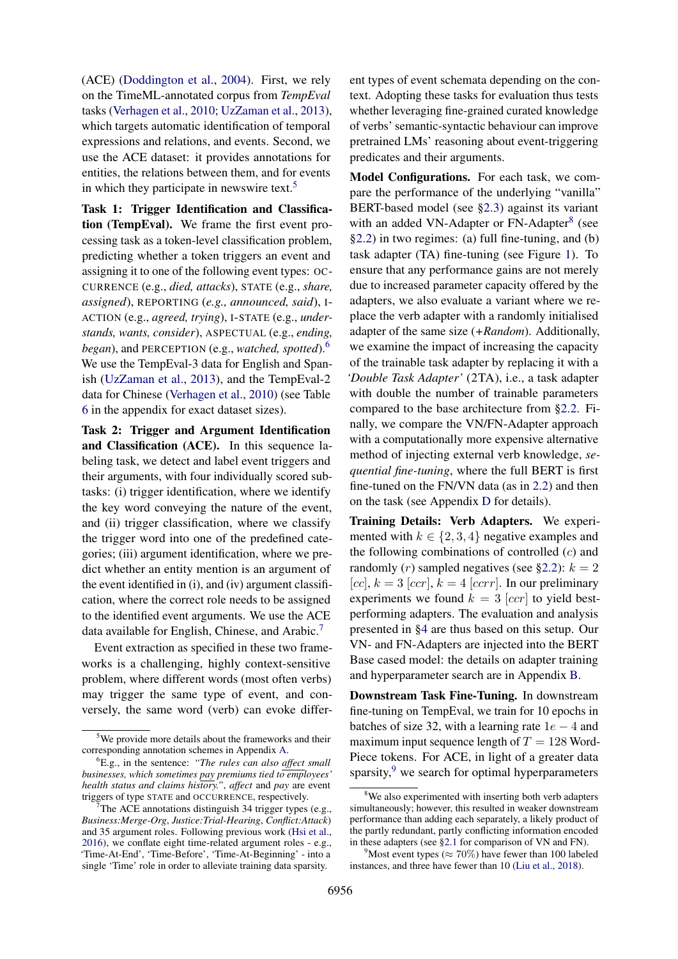(ACE) [\(Doddington et al.,](#page-9-3) [2004\)](#page-9-3). First, we rely on the TimeML-annotated corpus from *TempEval* tasks [\(Verhagen et al.,](#page-13-7) [2010;](#page-13-7) [UzZaman et al.,](#page-13-2) [2013\)](#page-13-2), which targets automatic identification of temporal expressions and relations, and events. Second, we use the ACE dataset: it provides annotations for entities, the relations between them, and for events in which they participate in newswire text.<sup>[5](#page-4-0)</sup>

Task 1: Trigger Identification and Classification (TempEval). We frame the first event processing task as a token-level classification problem, predicting whether a token triggers an event and assigning it to one of the following event types: OC-CURRENCE (e.g., *died, attacks*), STATE (e.g., *share, assigned*), REPORTING (*e.g., announced, said*), I-ACTION (e.g., *agreed, trying*), I-STATE (e.g., *understands, wants, consider*), ASPECTUAL (e.g., *ending, began*), and PERCEPTION (e.g., *watched, spotted*).[6](#page-4-1) We use the TempEval-3 data for English and Spanish [\(UzZaman et al.,](#page-13-2) [2013\)](#page-13-2), and the TempEval-2 data for Chinese [\(Verhagen et al.,](#page-13-7) [2010\)](#page-13-7) (see Table [6](#page-15-1) in the appendix for exact dataset sizes).

Task 2: Trigger and Argument Identification and Classification (ACE). In this sequence labeling task, we detect and label event triggers and their arguments, with four individually scored subtasks: (i) trigger identification, where we identify the key word conveying the nature of the event, and (ii) trigger classification, where we classify the trigger word into one of the predefined categories; (iii) argument identification, where we predict whether an entity mention is an argument of the event identified in (i), and (iv) argument classification, where the correct role needs to be assigned to the identified event arguments. We use the ACE data available for English, Chinese, and Arabic.<sup>[7](#page-4-2)</sup>

Event extraction as specified in these two frameworks is a challenging, highly context-sensitive problem, where different words (most often verbs) may trigger the same type of event, and conversely, the same word (verb) can evoke differ-

ent types of event schemata depending on the context. Adopting these tasks for evaluation thus tests whether leveraging fine-grained curated knowledge of verbs' semantic-syntactic behaviour can improve pretrained LMs' reasoning about event-triggering predicates and their arguments.

Model Configurations. For each task, we compare the performance of the underlying "vanilla" BERT-based model (see [§2.3\)](#page-3-0) against its variant with an added VN-Adapter or FN-Adapter<sup>[8](#page-4-3)</sup> (see [§2.2\)](#page-2-0) in two regimes: (a) full fine-tuning, and (b) task adapter (TA) fine-tuning (see Figure [1\)](#page-1-0). To ensure that any performance gains are not merely due to increased parameter capacity offered by the adapters, we also evaluate a variant where we replace the verb adapter with a randomly initialised adapter of the same size (*+Random*). Additionally, we examine the impact of increasing the capacity of the trainable task adapter by replacing it with a *'Double Task Adapter'* (2TA), i.e., a task adapter with double the number of trainable parameters compared to the base architecture from [§2.2.](#page-2-0) Finally, we compare the VN/FN-Adapter approach with a computationally more expensive alternative method of injecting external verb knowledge, *sequential fine-tuning*, where the full BERT is first fine-tuned on the FN/VN data (as in [2.2\)](#page-2-0) and then on the task (see Appendix [D](#page-16-0) for details).

Training Details: Verb Adapters. We experimented with  $k \in \{2, 3, 4\}$  negative examples and the following combinations of controlled  $(c)$  and randomly (*r*) sampled negatives (see [§2.2\)](#page-2-0):  $k = 2$ [cc],  $k = 3$  [ccr],  $k = 4$  [ccrr]. In our preliminary experiments we found  $k = 3$  [ccr] to yield bestperforming adapters. The evaluation and analysis presented in [§4](#page-5-0) are thus based on this setup. Our VN- and FN-Adapters are injected into the BERT Base cased model: the details on adapter training and hyperparameter search are in Appendix [B.](#page-15-3)

Downstream Task Fine-Tuning. In downstream fine-tuning on TempEval, we train for 10 epochs in batches of size 32, with a learning rate  $1e - 4$  and maximum input sequence length of  $T = 128$  Word-Piece tokens. For ACE, in light of a greater data sparsity, $9$  we search for optimal hyperparameters

<span id="page-4-0"></span><sup>&</sup>lt;sup>5</sup>We provide more details about the frameworks and their corresponding annotation schemes in Appendix [A.](#page-15-2)

<span id="page-4-1"></span><sup>6</sup>E.g., in the sentence: *"The rules can also affect small businesses, which sometimes pay premiums tied to employees' health status and claims history."*, *affect* and *pay* are event triggers of type STATE and OCCURRENCE, respectively.

<span id="page-4-2"></span>The ACE annotations distinguish 34 trigger types (e.g., *Business:Merge-Org*, *Justice:Trial-Hearing*, *Conflict:Attack*) and 35 argument roles. Following previous work [\(Hsi et al.,](#page-10-10) [2016\)](#page-10-10), we conflate eight time-related argument roles - e.g., 'Time-At-End', 'Time-Before', 'Time-At-Beginning' - into a single 'Time' role in order to alleviate training data sparsity.

<span id="page-4-3"></span><sup>&</sup>lt;sup>8</sup>We also experimented with inserting both verb adapters simultaneously; however, this resulted in weaker downstream performance than adding each separately, a likely product of the partly redundant, partly conflicting information encoded in these adapters (see [§2.1](#page-1-1) for comparison of VN and FN).

<span id="page-4-4"></span><sup>&</sup>lt;sup>9</sup>Most event types ( $\approx 70\%$ ) have fewer than 100 labeled instances, and three have fewer than 10 [\(Liu et al.,](#page-11-12) [2018\)](#page-11-12).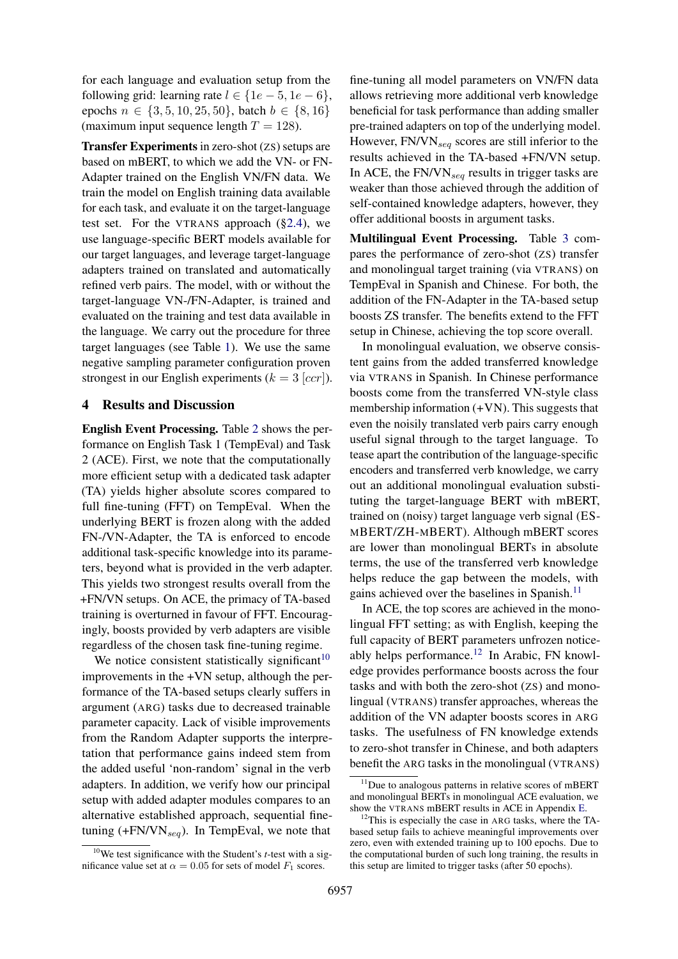for each language and evaluation setup from the following grid: learning rate  $l \in \{1e-5, 1e-6\}$ , epochs  $n \in \{3, 5, 10, 25, 50\}$ , batch  $b \in \{8, 16\}$ (maximum input sequence length  $T = 128$ ).

Transfer Experiments in zero-shot (ZS) setups are based on mBERT, to which we add the VN- or FN-Adapter trained on the English VN/FN data. We train the model on English training data available for each task, and evaluate it on the target-language test set. For the VTRANS approach ([§2.4\)](#page-3-2), we use language-specific BERT models available for our target languages, and leverage target-language adapters trained on translated and automatically refined verb pairs. The model, with or without the target-language VN-/FN-Adapter, is trained and evaluated on the training and test data available in the language. We carry out the procedure for three target languages (see Table [1\)](#page-3-3). We use the same negative sampling parameter configuration proven strongest in our English experiments ( $k = 3$  [ccr]).

### <span id="page-5-0"></span>4 Results and Discussion

English Event Processing. Table [2](#page-6-0) shows the performance on English Task 1 (TempEval) and Task 2 (ACE). First, we note that the computationally more efficient setup with a dedicated task adapter (TA) yields higher absolute scores compared to full fine-tuning (FFT) on TempEval. When the underlying BERT is frozen along with the added FN-/VN-Adapter, the TA is enforced to encode additional task-specific knowledge into its parameters, beyond what is provided in the verb adapter. This yields two strongest results overall from the +FN/VN setups. On ACE, the primacy of TA-based training is overturned in favour of FFT. Encouragingly, boosts provided by verb adapters are visible regardless of the chosen task fine-tuning regime.

We notice consistent statistically significant<sup>[10](#page-5-1)</sup> improvements in the +VN setup, although the performance of the TA-based setups clearly suffers in argument (ARG) tasks due to decreased trainable parameter capacity. Lack of visible improvements from the Random Adapter supports the interpretation that performance gains indeed stem from the added useful 'non-random' signal in the verb adapters. In addition, we verify how our principal setup with added adapter modules compares to an alternative established approach, sequential finetuning  $(+FN/VN<sub>sea</sub>)$ . In TempEval, we note that

fine-tuning all model parameters on VN/FN data allows retrieving more additional verb knowledge beneficial for task performance than adding smaller pre-trained adapters on top of the underlying model. However,  $FN/VN_{seq}$  scores are still inferior to the results achieved in the TA-based +FN/VN setup. In ACE, the  $FN/VN_{seq}$  results in trigger tasks are weaker than those achieved through the addition of self-contained knowledge adapters, however, they offer additional boosts in argument tasks.

Multilingual Event Processing. Table [3](#page-6-1) compares the performance of zero-shot (ZS) transfer and monolingual target training (via VTRANS) on TempEval in Spanish and Chinese. For both, the addition of the FN-Adapter in the TA-based setup boosts ZS transfer. The benefits extend to the FFT setup in Chinese, achieving the top score overall.

In monolingual evaluation, we observe consistent gains from the added transferred knowledge via VTRANS in Spanish. In Chinese performance boosts come from the transferred VN-style class membership information  $(+VN)$ . This suggests that even the noisily translated verb pairs carry enough useful signal through to the target language. To tease apart the contribution of the language-specific encoders and transferred verb knowledge, we carry out an additional monolingual evaluation substituting the target-language BERT with mBERT, trained on (noisy) target language verb signal (ES-MBERT/ZH-MBERT). Although mBERT scores are lower than monolingual BERTs in absolute terms, the use of the transferred verb knowledge helps reduce the gap between the models, with gains achieved over the baselines in Spanish.<sup>[11](#page-5-2)</sup>

In ACE, the top scores are achieved in the monolingual FFT setting; as with English, keeping the full capacity of BERT parameters unfrozen notice-ably helps performance.<sup>[12](#page-5-3)</sup> In Arabic, FN knowledge provides performance boosts across the four tasks and with both the zero-shot (ZS) and monolingual (VTRANS) transfer approaches, whereas the addition of the VN adapter boosts scores in ARG tasks. The usefulness of FN knowledge extends to zero-shot transfer in Chinese, and both adapters benefit the ARG tasks in the monolingual (VTRANS)

<span id="page-5-1"></span><sup>10</sup>We test significance with the Student's *t*-test with a significance value set at  $\alpha = 0.05$  for sets of model  $F_1$  scores.

<span id="page-5-2"></span><sup>&</sup>lt;sup>11</sup>Due to analogous patterns in relative scores of mBERT and monolingual BERTs in monolingual ACE evaluation, we show the VTRANS mBERT results in ACE in Appendix [E.](#page-16-1)

<span id="page-5-3"></span><sup>&</sup>lt;sup>12</sup>This is especially the case in ARG tasks, where the TAbased setup fails to achieve meaningful improvements over zero, even with extended training up to 100 epochs. Due to the computational burden of such long training, the results in this setup are limited to trigger tasks (after 50 epochs).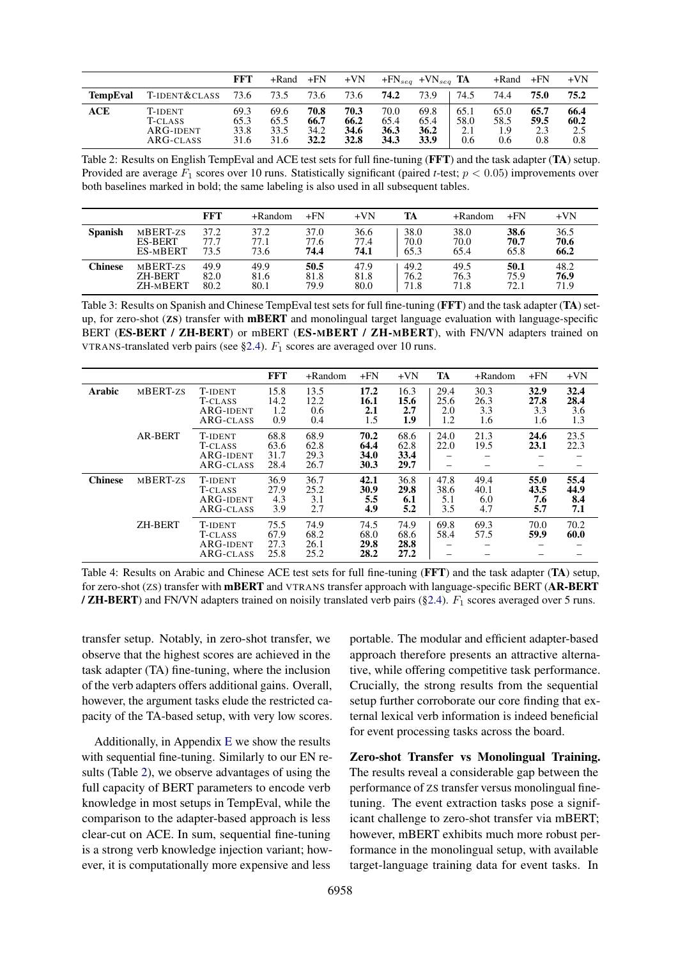<span id="page-6-0"></span>

|                 |                                                 | FFT                          | +Rand                        | $+FN$                        | $+VN$                               |                              | $+FN_{seq} + VN_{seq}$ TA    |                            | +Rand                      | $+FN$                      | $+VN$                      |
|-----------------|-------------------------------------------------|------------------------------|------------------------------|------------------------------|-------------------------------------|------------------------------|------------------------------|----------------------------|----------------------------|----------------------------|----------------------------|
| <b>TempEval</b> | T-IDENT&CLASS                                   | 73.6                         | 73.5                         | 73.6                         | 73.6                                | 74.2                         | 73.9                         | 74.5                       | 74.4                       | 75.0                       | 75.2                       |
| ACE             | T-ident<br>T-CLASS<br>$ARG$ -IDENT<br>ARG-CLASS | 69.3<br>65.3<br>33.8<br>31.6 | 69.6<br>65.5<br>33.5<br>31.6 | 70.8<br>66.7<br>34.2<br>32.2 | 70.3<br>66.2<br>34.6<br><b>32.8</b> | 70.0<br>65.4<br>36.3<br>34.3 | 69.8<br>65.4<br>36.2<br>33.9 | 65.1<br>58.0<br>2.1<br>0.6 | 65.0<br>58.5<br>1.9<br>0.6 | 65.7<br>59.5<br>2.3<br>0.8 | 66.4<br>60.2<br>2.5<br>0.8 |

Table 2: Results on English TempEval and ACE test sets for full fine-tuning (FFT) and the task adapter (TA) setup. Provided are average  $F_1$  scores over 10 runs. Statistically significant (paired *t*-test;  $p < 0.05$ ) improvements over both baselines marked in bold; the same labeling is also used in all subsequent tables.

<span id="page-6-1"></span>

|                |                | <b>FFT</b> | $+$ Random | $+FN$ | $+VN$ | TA   | $+$ Random | $+FN$ | $+VN$ |
|----------------|----------------|------------|------------|-------|-------|------|------------|-------|-------|
| <b>Spanish</b> | MBERT-ZS       | 37.2       | 37.2       | 37.0  | 36.6  | 38.0 | 38.0       | 38.6  | 36.5  |
|                | <b>ES-BERT</b> | 77.7       | 77.1       | 77.6  | 77.4  | 70.0 | 70.0       | 70.7  | 70.6  |
|                | ES-MBERT       | 73.5       | 73.6       | 74.4  | 74.1  | 65.3 | 65.4       | 65.8  | 66.2  |
| Chinese        | MBERT-ZS       | 49.9       | 49.9       | 50.5  | 47.9  | 49.2 | 49.5       | 50.1  | 48.2  |
|                | <b>ZH-BERT</b> | 82.0       | 81.6       | 81.8  | 81.8  | 76.2 | 76.3       | 75.9  | 76.9  |
|                | ZH-MBERT       | 80.2       | 80.1       | 79.9  | 80.0  | 71.8 | 71.8       | 72.1  | 71.9  |

Table 3: Results on Spanish and Chinese TempEval test sets for full fine-tuning (FFT) and the task adapter (TA) setup, for zero-shot (ZS) transfer with mBERT and monolingual target language evaluation with language-specific BERT (ES-BERT / ZH-BERT) or mBERT (ES-MBERT / ZH-MBERT), with FN/VN adapters trained on VTRANS-translated verb pairs (see [§2.4\)](#page-3-2).  $F_1$  scores are averaged over 10 runs.

|                |                |                                                     | <b>FFT</b>                   | +Random                      | $+FN$                        | $+VN$                        | TA                         | +Random                    | $+FN$                      | $+VN$                      |
|----------------|----------------|-----------------------------------------------------|------------------------------|------------------------------|------------------------------|------------------------------|----------------------------|----------------------------|----------------------------|----------------------------|
| Arabic         | MBERT-ZS       | <b>T-IDENT</b><br>T-CLASS<br>ARG-IDENT<br>ARG-CLASS | 15.8<br>14.2<br>1.2<br>0.9   | 13.5<br>12.2<br>0.6<br>0.4   | 17.2<br>16.1<br>2.1<br>1.5   | 16.3<br>15.6<br>2.7<br>1.9   | 29.4<br>25.6<br>2.0<br>1.2 | 30.3<br>26.3<br>3.3<br>1.6 | 32.9<br>27.8<br>3.3<br>1.6 | 32.4<br>28.4<br>3.6<br>1.3 |
|                | <b>AR-BERT</b> | T-IDENT<br>T-CLASS<br>ARG-IDENT<br>ARG-CLASS        | 68.8<br>63.6<br>31.7<br>28.4 | 68.9<br>62.8<br>29.3<br>26.7 | 70.2<br>64.4<br>34.0<br>30.3 | 68.6<br>62.8<br>33.4<br>29.7 | 24.0<br>22.0<br>—          | 21.3<br>19.5               | 24.6<br>23.1<br>-          | 23.5<br>22.3               |
| <b>Chinese</b> | MBERT-ZS       | T-IDENT<br>T-CLASS<br>ARG-IDENT<br>ARG-CLASS        | 36.9<br>27.9<br>4.3<br>3.9   | 36.7<br>25.2<br>3.1<br>2.7   | 42.1<br>30.9<br>5.5<br>4.9   | 36.8<br>29.8<br>6.1<br>5.2   | 47.8<br>38.6<br>5.1<br>3.5 | 49.4<br>40.1<br>6.0<br>4.7 | 55.0<br>43.5<br>7.6<br>5.7 | 55.4<br>44.9<br>8.4<br>7.1 |
|                | <b>ZH-BERT</b> | T-IDENT<br>T-CLASS<br>ARG-IDENT<br>ARG-CLASS        | 75.5<br>67.9<br>27.3<br>25.8 | 74.9<br>68.2<br>26.1<br>25.2 | 74.5<br>68.0<br>29.8<br>28.2 | 74.9<br>68.6<br>28.8<br>27.2 | 69.8<br>58.4               | 69.3<br>57.5               | 70.0<br>59.9               | 70.2<br>60.0               |

Table 4: Results on Arabic and Chinese ACE test sets for full fine-tuning (FFT) and the task adapter (TA) setup, for zero-shot (ZS) transfer with mBERT and VTRANS transfer approach with language-specific BERT (AR-BERT / **ZH-BERT**) and FN/VN adapters trained on noisily translated verb pairs ([§2.4\)](#page-3-2).  $F_1$  scores averaged over 5 runs.

transfer setup. Notably, in zero-shot transfer, we observe that the highest scores are achieved in the task adapter (TA) fine-tuning, where the inclusion of the verb adapters offers additional gains. Overall, however, the argument tasks elude the restricted capacity of the TA-based setup, with very low scores.

Additionally, in Appendix [E](#page-16-1) we show the results with sequential fine-tuning. Similarly to our EN results (Table [2\)](#page-6-0), we observe advantages of using the full capacity of BERT parameters to encode verb knowledge in most setups in TempEval, while the comparison to the adapter-based approach is less clear-cut on ACE. In sum, sequential fine-tuning is a strong verb knowledge injection variant; however, it is computationally more expensive and less

portable. The modular and efficient adapter-based approach therefore presents an attractive alternative, while offering competitive task performance. Crucially, the strong results from the sequential setup further corroborate our core finding that external lexical verb information is indeed beneficial for event processing tasks across the board.

Zero-shot Transfer vs Monolingual Training. The results reveal a considerable gap between the performance of ZS transfer versus monolingual finetuning. The event extraction tasks pose a significant challenge to zero-shot transfer via mBERT; however, mBERT exhibits much more robust performance in the monolingual setup, with available target-language training data for event tasks. In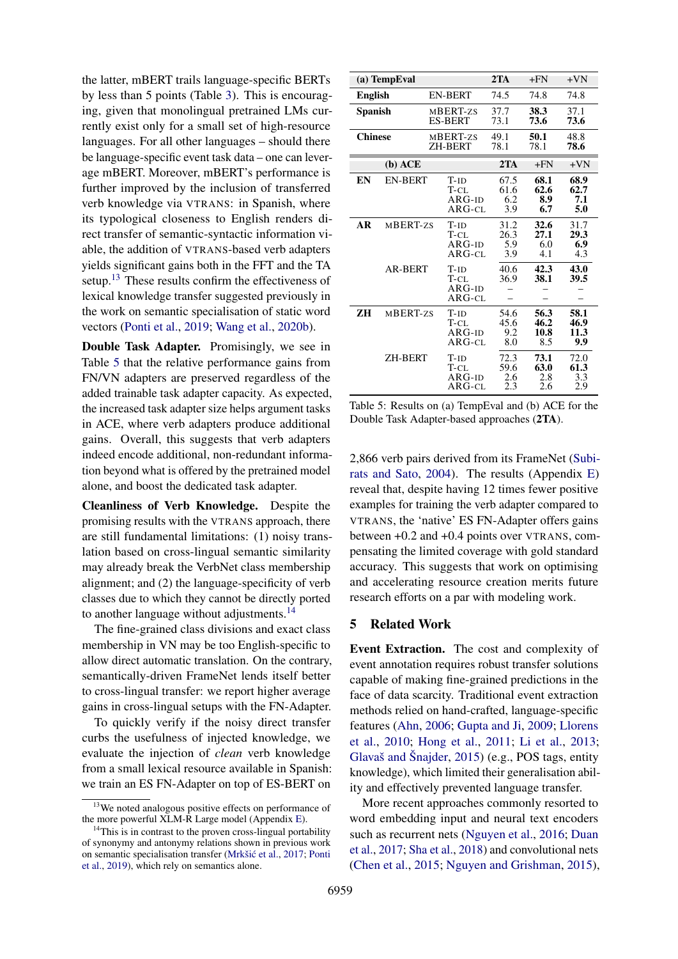the latter, mBERT trails language-specific BERTs by less than 5 points (Table [3\)](#page-6-1). This is encouraging, given that monolingual pretrained LMs currently exist only for a small set of high-resource languages. For all other languages – should there be language-specific event task data – one can leverage mBERT. Moreover, mBERT's performance is further improved by the inclusion of transferred verb knowledge via VTRANS: in Spanish, where its typological closeness to English renders direct transfer of semantic-syntactic information viable, the addition of VTRANS-based verb adapters yields significant gains both in the FFT and the TA setup.<sup>[13](#page-7-0)</sup> These results confirm the effectiveness of lexical knowledge transfer suggested previously in the work on semantic specialisation of static word vectors [\(Ponti et al.,](#page-12-4) [2019;](#page-12-4) [Wang et al.,](#page-13-6) [2020b\)](#page-13-6).

Double Task Adapter. Promisingly, we see in Table [5](#page-7-1) that the relative performance gains from FN/VN adapters are preserved regardless of the added trainable task adapter capacity. As expected, the increased task adapter size helps argument tasks in ACE, where verb adapters produce additional gains. Overall, this suggests that verb adapters indeed encode additional, non-redundant information beyond what is offered by the pretrained model alone, and boost the dedicated task adapter.

Cleanliness of Verb Knowledge. Despite the promising results with the VTRANS approach, there are still fundamental limitations: (1) noisy translation based on cross-lingual semantic similarity may already break the VerbNet class membership alignment; and (2) the language-specificity of verb classes due to which they cannot be directly ported to another language without adjustments.<sup>[14](#page-7-2)</sup>

The fine-grained class divisions and exact class membership in VN may be too English-specific to allow direct automatic translation. On the contrary, semantically-driven FrameNet lends itself better to cross-lingual transfer: we report higher average gains in cross-lingual setups with the FN-Adapter.

To quickly verify if the noisy direct transfer curbs the usefulness of injected knowledge, we evaluate the injection of *clean* verb knowledge from a small lexical resource available in Spanish: we train an ES FN-Adapter on top of ES-BERT on

<span id="page-7-1"></span>

|                | (a) TempEval   |                                        | 2TA                        | $+FN$                       | $+VN$                       |
|----------------|----------------|----------------------------------------|----------------------------|-----------------------------|-----------------------------|
| <b>English</b> |                | <b>EN-BERT</b>                         | 74.5                       | 74.8                        | 74.8                        |
| Spanish        |                | MBERT-zs<br><b>ES-BERT</b>             | 37.7<br>73.1               | 38.3<br>73.6                | 37.1<br>73.6                |
| <b>Chinese</b> |                | MBERT-zs<br><b>ZH-BERT</b>             | 49.1<br>78.1               | 50.1<br>78.1                | 48.8<br>78.6                |
|                | $(b)$ ACE      |                                        | 2TA                        | $+FN$                       | $+VN$                       |
| EN             | <b>EN-BERT</b> | $T-ID$<br>T-CL<br>$ARG-ID$<br>$ARG-CL$ | 67.5<br>61.6<br>6.2<br>3.9 | 68.1<br>62.6<br>8.9<br>6.7  | 68.9<br>62.7<br>7.1<br>5.0  |
| AR             | MBERT-zs       | $T-ID$<br>T-CL<br>$ARG-ID$<br>$ARG-CL$ | 31.2<br>26.3<br>5.9<br>3.9 | 32.6<br>27.1<br>6.0<br>4.1  | 31.7<br>29.3<br>6.9<br>4.3  |
|                | <b>AR-BERT</b> | $T-ID$<br>T-CL<br>$ARG-ID$<br>$ARG-CL$ | 40.6<br>36.9               | 42.3<br>38.1                | 43.0<br>39.5                |
| ZН             | MBERT-zs       | $T-ID$<br>T-CL<br>$ARG-ID$<br>$ARG-CL$ | 54.6<br>45.6<br>9.2<br>8.0 | 56.3<br>46.2<br>10.8<br>8.5 | 58.1<br>46.9<br>11.3<br>9.9 |
|                | <b>ZH-BERT</b> | $T-ID$<br>T-CL<br>$ARG-ID$<br>ARG-cl   | 72.3<br>59.6<br>2.6<br>2.3 | 73.1<br>63.0<br>2.8<br>2.6  | 72.0<br>61.3<br>3.3<br>2.9  |

Table 5: Results on (a) TempEval and (b) ACE for the Double Task Adapter-based approaches (2TA).

2,866 verb pairs derived from its FrameNet [\(Subi](#page-12-5)[rats and Sato,](#page-12-5) [2004\)](#page-12-5). The results (Appendix [E\)](#page-16-1) reveal that, despite having 12 times fewer positive examples for training the verb adapter compared to VTRANS, the 'native' ES FN-Adapter offers gains between +0.2 and +0.4 points over VTRANS, compensating the limited coverage with gold standard accuracy. This suggests that work on optimising and accelerating resource creation merits future research efforts on a par with modeling work.

#### 5 Related Work

Event Extraction. The cost and complexity of event annotation requires robust transfer solutions capable of making fine-grained predictions in the face of data scarcity. Traditional event extraction methods relied on hand-crafted, language-specific features [\(Ahn,](#page-9-9) [2006;](#page-9-9) [Gupta and Ji,](#page-10-11) [2009;](#page-10-11) [Llorens](#page-11-13) [et al.,](#page-11-13) [2010;](#page-11-13) [Hong et al.,](#page-10-12) [2011;](#page-10-12) [Li et al.,](#page-11-14) [2013;](#page-11-14) [Glavaš and Šnajder,](#page-10-13) [2015\)](#page-10-13) (e.g., POS tags, entity knowledge), which limited their generalisation ability and effectively prevented language transfer.

More recent approaches commonly resorted to word embedding input and neural text encoders such as recurrent nets [\(Nguyen et al.,](#page-12-11) [2016;](#page-12-11) [Duan](#page-9-10) [et al.,](#page-9-10) [2017;](#page-9-10) [Sha et al.,](#page-12-12) [2018\)](#page-12-12) and convolutional nets [\(Chen et al.,](#page-9-11) [2015;](#page-9-11) [Nguyen and Grishman,](#page-12-13) [2015\)](#page-12-13),

<span id="page-7-0"></span><sup>&</sup>lt;sup>13</sup>We noted analogous positive effects on performance of the more powerful XLM-R Large model (Appendix [E\)](#page-16-1).

<span id="page-7-2"></span> $14$ This is in contrast to the proven cross-lingual portability of synonymy and antonymy relations shown in previous work on semantic specialisation transfer (Mrkšić et al., [2017;](#page-11-6) [Ponti](#page-12-4) [et al.,](#page-12-4) [2019\)](#page-12-4), which rely on semantics alone.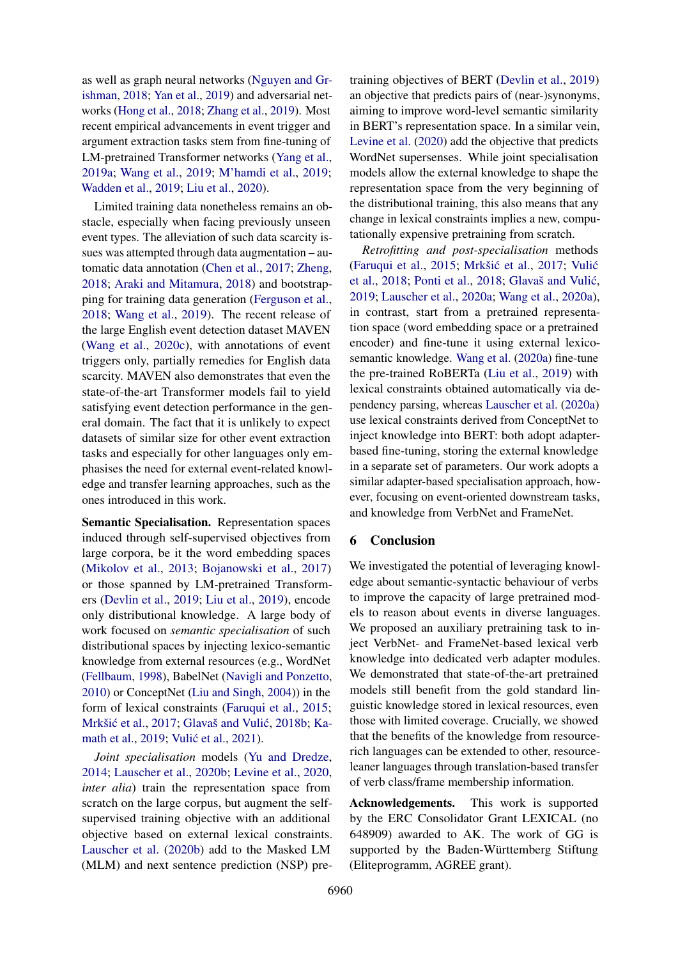as well as graph neural networks [\(Nguyen and Gr](#page-12-14)[ishman,](#page-12-14) [2018;](#page-12-14) [Yan et al.,](#page-13-8) [2019\)](#page-13-8) and adversarial networks [\(Hong et al.,](#page-10-14) [2018;](#page-10-14) [Zhang et al.,](#page-14-0) [2019\)](#page-14-0). Most recent empirical advancements in event trigger and argument extraction tasks stem from fine-tuning of LM-pretrained Transformer networks [\(Yang et al.,](#page-13-9) [2019a;](#page-13-9) [Wang et al.,](#page-13-5) [2019;](#page-13-5) [M'hamdi et al.,](#page-11-10) [2019;](#page-11-10) [Wadden et al.,](#page-13-10) [2019;](#page-13-10) [Liu et al.,](#page-11-15) [2020\)](#page-11-15).

Limited training data nonetheless remains an obstacle, especially when facing previously unseen event types. The alleviation of such data scarcity issues was attempted through data augmentation – automatic data annotation [\(Chen et al.,](#page-9-12) [2017;](#page-9-12) [Zheng,](#page-14-1) [2018;](#page-14-1) [Araki and Mitamura,](#page-9-13) [2018\)](#page-9-13) and bootstrapping for training data generation [\(Ferguson et al.,](#page-9-14) [2018;](#page-9-14) [Wang et al.,](#page-13-5) [2019\)](#page-13-5). The recent release of the large English event detection dataset MAVEN [\(Wang et al.,](#page-13-11) [2020c\)](#page-13-11), with annotations of event triggers only, partially remedies for English data scarcity. MAVEN also demonstrates that even the state-of-the-art Transformer models fail to yield satisfying event detection performance in the general domain. The fact that it is unlikely to expect datasets of similar size for other event extraction tasks and especially for other languages only emphasises the need for external event-related knowledge and transfer learning approaches, such as the ones introduced in this work.

Semantic Specialisation. Representation spaces induced through self-supervised objectives from large corpora, be it the word embedding spaces [\(Mikolov et al.,](#page-11-16) [2013;](#page-11-16) [Bojanowski et al.,](#page-9-15) [2017\)](#page-9-15) or those spanned by LM-pretrained Transformers [\(Devlin et al.,](#page-9-0) [2019;](#page-9-0) [Liu et al.,](#page-11-0) [2019\)](#page-11-0), encode only distributional knowledge. A large body of work focused on *semantic specialisation* of such distributional spaces by injecting lexico-semantic knowledge from external resources (e.g., WordNet [\(Fellbaum,](#page-9-16) [1998\)](#page-9-16), BabelNet [\(Navigli and Ponzetto,](#page-12-15) [2010\)](#page-12-15) or ConceptNet [\(Liu and Singh,](#page-11-17) [2004\)](#page-11-17)) in the form of lexical constraints [\(Faruqui et al.,](#page-9-17) [2015;](#page-9-17) Mrkšić et al., [2017;](#page-11-6) Glavaš and Vulić, [2018b;](#page-10-6) [Ka](#page-10-15)[math et al.,](#page-10-15) [2019;](#page-10-15) Vulić et al., [2021\)](#page-13-12).

*Joint specialisation* models [\(Yu and Dredze,](#page-14-2) [2014;](#page-14-2) [Lauscher et al.,](#page-11-5) [2020b;](#page-11-5) [Levine et al.,](#page-11-4) [2020,](#page-11-4) *inter alia*) train the representation space from scratch on the large corpus, but augment the selfsupervised training objective with an additional objective based on external lexical constraints. [Lauscher et al.](#page-11-5) [\(2020b\)](#page-11-5) add to the Masked LM (MLM) and next sentence prediction (NSP) pretraining objectives of BERT [\(Devlin et al.,](#page-9-0) [2019\)](#page-9-0) an objective that predicts pairs of (near-)synonyms, aiming to improve word-level semantic similarity in BERT's representation space. In a similar vein, [Levine et al.](#page-11-4) [\(2020\)](#page-11-4) add the objective that predicts WordNet supersenses. While joint specialisation models allow the external knowledge to shape the representation space from the very beginning of the distributional training, this also means that any change in lexical constraints implies a new, computationally expensive pretraining from scratch.

*Retrofitting and post-specialisation* methods [\(Faruqui et al.,](#page-9-17) [2015;](#page-9-17) Mrkšić et al., [2017;](#page-11-6) Vulić [et al.,](#page-13-13) [2018;](#page-12-16) [Ponti et al.,](#page-12-16) 2018; Glavaš and Vulić, [2019;](#page-10-16) [Lauscher et al.,](#page-11-18) [2020a;](#page-11-18) [Wang et al.,](#page-13-14) [2020a\)](#page-13-14), in contrast, start from a pretrained representation space (word embedding space or a pretrained encoder) and fine-tune it using external lexicosemantic knowledge. [Wang et al.](#page-13-14) [\(2020a\)](#page-13-14) fine-tune the pre-trained RoBERTa [\(Liu et al.,](#page-11-0) [2019\)](#page-11-0) with lexical constraints obtained automatically via dependency parsing, whereas [Lauscher et al.](#page-11-18) [\(2020a\)](#page-11-18) use lexical constraints derived from ConceptNet to inject knowledge into BERT: both adopt adapterbased fine-tuning, storing the external knowledge in a separate set of parameters. Our work adopts a similar adapter-based specialisation approach, however, focusing on event-oriented downstream tasks, and knowledge from VerbNet and FrameNet.

### 6 Conclusion

We investigated the potential of leveraging knowledge about semantic-syntactic behaviour of verbs to improve the capacity of large pretrained models to reason about events in diverse languages. We proposed an auxiliary pretraining task to inject VerbNet- and FrameNet-based lexical verb knowledge into dedicated verb adapter modules. We demonstrated that state-of-the-art pretrained models still benefit from the gold standard linguistic knowledge stored in lexical resources, even those with limited coverage. Crucially, we showed that the benefits of the knowledge from resourcerich languages can be extended to other, resourceleaner languages through translation-based transfer of verb class/frame membership information.

Acknowledgements. This work is supported by the ERC Consolidator Grant LEXICAL (no 648909) awarded to AK. The work of GG is supported by the Baden-Württemberg Stiftung (Eliteprogramm, AGREE grant).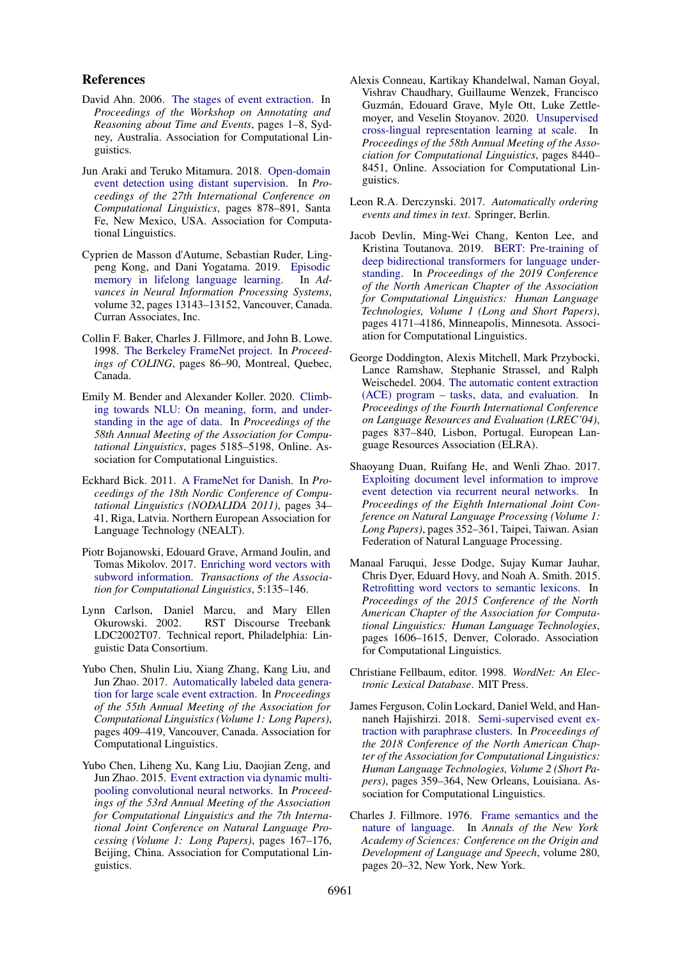#### References

- <span id="page-9-9"></span>David Ahn. 2006. [The stages of event extraction.](https://www.aclweb.org/anthology/W06-0901) In *Proceedings of the Workshop on Annotating and Reasoning about Time and Events*, pages 1–8, Sydney, Australia. Association for Computational Linguistics.
- <span id="page-9-13"></span>Jun Araki and Teruko Mitamura. 2018. [Open-domain](https://www.aclweb.org/anthology/C18-1075) [event detection using distant supervision.](https://www.aclweb.org/anthology/C18-1075) In *Proceedings of the 27th International Conference on Computational Linguistics*, pages 878–891, Santa Fe, New Mexico, USA. Association for Computational Linguistics.
- <span id="page-9-7"></span>Cyprien de Masson d'Autume, Sebastian Ruder, Lingpeng Kong, and Dani Yogatama. 2019. [Episodic](https://proceedings.neurips.cc/paper/2019/file/f8d2e80c1458ea2501f98a2cafadb397-Paper.pdf) [memory in lifelong language learning.](https://proceedings.neurips.cc/paper/2019/file/f8d2e80c1458ea2501f98a2cafadb397-Paper.pdf) In *Advances in Neural Information Processing Systems*, volume 32, pages 13143–13152, Vancouver, Canada. Curran Associates, Inc.
- <span id="page-9-4"></span>Collin F. Baker, Charles J. Fillmore, and John B. Lowe. 1998. [The Berkeley FrameNet project.](http://aclweb.org/anthology/C98-1013) In *Proceedings of COLING*, pages 86–90, Montreal, Quebec, Canada.
- <span id="page-9-1"></span>Emily M. Bender and Alexander Koller. 2020. [Climb](https://doi.org/10.18653/v1/2020.acl-main.463)[ing towards NLU: On meaning, form, and under](https://doi.org/10.18653/v1/2020.acl-main.463)[standing in the age of data.](https://doi.org/10.18653/v1/2020.acl-main.463) In *Proceedings of the 58th Annual Meeting of the Association for Computational Linguistics*, pages 5185–5198, Online. Association for Computational Linguistics.
- <span id="page-9-6"></span>Eckhard Bick. 2011. [A FrameNet for Danish.](https://www.aclweb.org/anthology/W11-4606) In *Proceedings of the 18th Nordic Conference of Computational Linguistics (NODALIDA 2011)*, pages 34– 41, Riga, Latvia. Northern European Association for Language Technology (NEALT).
- <span id="page-9-15"></span>Piotr Bojanowski, Edouard Grave, Armand Joulin, and Tomas Mikolov. 2017. [Enriching word vectors with](https://doi.org/10.1162/tacl_a_00051) [subword information.](https://doi.org/10.1162/tacl_a_00051) *Transactions of the Association for Computational Linguistics*, 5:135–146.
- <span id="page-9-2"></span>Lynn Carlson, Daniel Marcu, and Mary Ellen Okurowski. 2002. RST Discourse Treebank LDC2002T07. Technical report, Philadelphia: Linguistic Data Consortium.
- <span id="page-9-12"></span>Yubo Chen, Shulin Liu, Xiang Zhang, Kang Liu, and Jun Zhao. 2017. [Automatically labeled data genera](https://doi.org/10.18653/v1/P17-1038)[tion for large scale event extraction.](https://doi.org/10.18653/v1/P17-1038) In *Proceedings of the 55th Annual Meeting of the Association for Computational Linguistics (Volume 1: Long Papers)*, pages 409–419, Vancouver, Canada. Association for Computational Linguistics.
- <span id="page-9-11"></span>Yubo Chen, Liheng Xu, Kang Liu, Daojian Zeng, and Jun Zhao. 2015. [Event extraction via dynamic multi](https://doi.org/10.3115/v1/P15-1017)[pooling convolutional neural networks.](https://doi.org/10.3115/v1/P15-1017) In *Proceedings of the 53rd Annual Meeting of the Association for Computational Linguistics and the 7th International Joint Conference on Natural Language Processing (Volume 1: Long Papers)*, pages 167–176, Beijing, China. Association for Computational Linguistics.
- <span id="page-9-8"></span>Alexis Conneau, Kartikay Khandelwal, Naman Goyal, Vishrav Chaudhary, Guillaume Wenzek, Francisco Guzmán, Edouard Grave, Myle Ott, Luke Zettlemoyer, and Veselin Stoyanov. 2020. [Unsupervised](https://doi.org/10.18653/v1/2020.acl-main.747) [cross-lingual representation learning at scale.](https://doi.org/10.18653/v1/2020.acl-main.747) In *Proceedings of the 58th Annual Meeting of the Association for Computational Linguistics*, pages 8440– 8451, Online. Association for Computational Linguistics.
- <span id="page-9-18"></span>Leon R.A. Derczynski. 2017. *Automatically ordering events and times in text*. Springer, Berlin.
- <span id="page-9-0"></span>Jacob Devlin, Ming-Wei Chang, Kenton Lee, and Kristina Toutanova. 2019. [BERT: Pre-training of](https://doi.org/10.18653/v1/N19-1423) [deep bidirectional transformers for language under](https://doi.org/10.18653/v1/N19-1423)[standing.](https://doi.org/10.18653/v1/N19-1423) In *Proceedings of the 2019 Conference of the North American Chapter of the Association for Computational Linguistics: Human Language Technologies, Volume 1 (Long and Short Papers)*, pages 4171–4186, Minneapolis, Minnesota. Association for Computational Linguistics.
- <span id="page-9-3"></span>George Doddington, Alexis Mitchell, Mark Przybocki, Lance Ramshaw, Stephanie Strassel, and Ralph Weischedel. 2004. [The automatic content extraction](http://www.lrec-conf.org/proceedings/lrec2004/pdf/5.pdf) [\(ACE\) program – tasks, data, and evaluation.](http://www.lrec-conf.org/proceedings/lrec2004/pdf/5.pdf) In *Proceedings of the Fourth International Conference on Language Resources and Evaluation (LREC'04)*, pages 837–840, Lisbon, Portugal. European Language Resources Association (ELRA).
- <span id="page-9-10"></span>Shaoyang Duan, Ruifang He, and Wenli Zhao. 2017. [Exploiting document level information to improve](https://www.aclweb.org/anthology/I17-1036) [event detection via recurrent neural networks.](https://www.aclweb.org/anthology/I17-1036) In *Proceedings of the Eighth International Joint Conference on Natural Language Processing (Volume 1: Long Papers)*, pages 352–361, Taipei, Taiwan. Asian Federation of Natural Language Processing.
- <span id="page-9-17"></span>Manaal Faruqui, Jesse Dodge, Sujay Kumar Jauhar, Chris Dyer, Eduard Hovy, and Noah A. Smith. 2015. [Retrofitting word vectors to semantic lexicons.](https://doi.org/10.3115/v1/N15-1184) In *Proceedings of the 2015 Conference of the North American Chapter of the Association for Computational Linguistics: Human Language Technologies*, pages 1606–1615, Denver, Colorado. Association for Computational Linguistics.
- <span id="page-9-16"></span>Christiane Fellbaum, editor. 1998. *WordNet: An Electronic Lexical Database*. MIT Press.
- <span id="page-9-14"></span>James Ferguson, Colin Lockard, Daniel Weld, and Hannaneh Hajishirzi. 2018. [Semi-supervised event ex](https://doi.org/10.18653/v1/N18-2058)[traction with paraphrase clusters.](https://doi.org/10.18653/v1/N18-2058) In *Proceedings of the 2018 Conference of the North American Chapter of the Association for Computational Linguistics: Human Language Technologies, Volume 2 (Short Papers)*, pages 359–364, New Orleans, Louisiana. Association for Computational Linguistics.
- <span id="page-9-5"></span>Charles J. Fillmore. 1976. [Frame semantics and the](http://www.icsi.berkeley.edu/pubs/ai/framesemantics76.pdf) [nature of language.](http://www.icsi.berkeley.edu/pubs/ai/framesemantics76.pdf) In *Annals of the New York Academy of Sciences: Conference on the Origin and Development of Language and Speech*, volume 280, pages 20–32, New York, New York.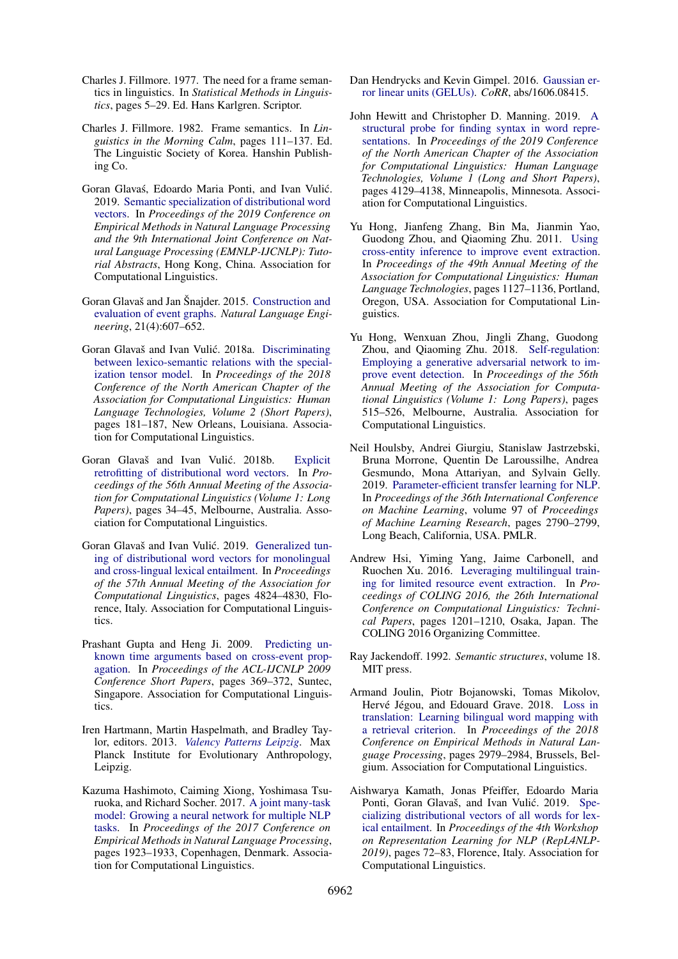- <span id="page-10-4"></span>Charles J. Fillmore. 1977. The need for a frame semantics in linguistics. In *Statistical Methods in Linguistics*, pages 5–29. Ed. Hans Karlgren. Scriptor.
- <span id="page-10-5"></span>Charles J. Fillmore. 1982. Frame semantics. In *Linguistics in the Morning Calm*, pages 111–137. Ed. The Linguistic Society of Korea. Hanshin Publishing Co.
- <span id="page-10-9"></span>Goran Glavaś, Edoardo Maria Ponti, and Ivan Vulić. 2019. [Semantic specialization of distributional word](https://www.aclweb.org/anthology/D19-2007) [vectors.](https://www.aclweb.org/anthology/D19-2007) In *Proceedings of the 2019 Conference on Empirical Methods in Natural Language Processing and the 9th International Joint Conference on Natural Language Processing (EMNLP-IJCNLP): Tutorial Abstracts*, Hong Kong, China. Association for Computational Linguistics.
- <span id="page-10-13"></span>Goran Glavaš and Jan Šnajder. 2015. [Construction and](https://doi.org/10.1017/S1351324914000060) [evaluation of event graphs.](https://doi.org/10.1017/S1351324914000060) *Natural Language Engineering*, 21(4):607–652.
- <span id="page-10-18"></span>Goran Glavaš and Ivan Vulić. 2018a. [Discriminating](https://doi.org/10.18653/v1/N18-2029) [between lexico-semantic relations with the special](https://doi.org/10.18653/v1/N18-2029)[ization tensor model.](https://doi.org/10.18653/v1/N18-2029) In *Proceedings of the 2018 Conference of the North American Chapter of the Association for Computational Linguistics: Human Language Technologies, Volume 2 (Short Papers)*, pages 181–187, New Orleans, Louisiana. Association for Computational Linguistics.
- <span id="page-10-6"></span>Goran Glavaš and Ivan Vulić. 2018b. [Explicit](https://doi.org/10.18653/v1/P18-1004) [retrofitting of distributional word vectors.](https://doi.org/10.18653/v1/P18-1004) In *Proceedings of the 56th Annual Meeting of the Association for Computational Linguistics (Volume 1: Long Papers)*, pages 34–45, Melbourne, Australia. Association for Computational Linguistics.
- <span id="page-10-16"></span>Goran Glavaš and Ivan Vulić. 2019. [Generalized tun](https://doi.org/10.18653/v1/P19-1476)[ing of distributional word vectors for monolingual](https://doi.org/10.18653/v1/P19-1476) [and cross-lingual lexical entailment.](https://doi.org/10.18653/v1/P19-1476) In *Proceedings of the 57th Annual Meeting of the Association for Computational Linguistics*, pages 4824–4830, Florence, Italy. Association for Computational Linguistics.
- <span id="page-10-11"></span>Prashant Gupta and Heng Ji. 2009. [Predicting un](https://www.aclweb.org/anthology/P09-2093)[known time arguments based on cross-event prop](https://www.aclweb.org/anthology/P09-2093)[agation.](https://www.aclweb.org/anthology/P09-2093) In *Proceedings of the ACL-IJCNLP 2009 Conference Short Papers*, pages 369–372, Suntec, Singapore. Association for Computational Linguistics.
- <span id="page-10-2"></span>Iren Hartmann, Martin Haspelmath, and Bradley Taylor, editors. 2013. *[Valency Patterns Leipzig](http://valpal.info/)*. Max Planck Institute for Evolutionary Anthropology, Leipzig.
- <span id="page-10-7"></span>Kazuma Hashimoto, Caiming Xiong, Yoshimasa Tsuruoka, and Richard Socher. 2017. [A joint many-task](https://doi.org/10.18653/v1/D17-1206) [model: Growing a neural network for multiple NLP](https://doi.org/10.18653/v1/D17-1206) [tasks.](https://doi.org/10.18653/v1/D17-1206) In *Proceedings of the 2017 Conference on Empirical Methods in Natural Language Processing*, pages 1923–1933, Copenhagen, Denmark. Association for Computational Linguistics.
- <span id="page-10-8"></span>Dan Hendrycks and Kevin Gimpel. 2016. [Gaussian er](http://arxiv.org/abs/1606.08415)[ror linear units \(GELUs\).](http://arxiv.org/abs/1606.08415) *CoRR*, abs/1606.08415.
- <span id="page-10-0"></span>John Hewitt and Christopher D. Manning. 2019. [A](https://doi.org/10.18653/v1/N19-1419) [structural probe for finding syntax in word repre](https://doi.org/10.18653/v1/N19-1419)[sentations.](https://doi.org/10.18653/v1/N19-1419) In *Proceedings of the 2019 Conference of the North American Chapter of the Association for Computational Linguistics: Human Language Technologies, Volume 1 (Long and Short Papers)*, pages 4129–4138, Minneapolis, Minnesota. Association for Computational Linguistics.
- <span id="page-10-12"></span>Yu Hong, Jianfeng Zhang, Bin Ma, Jianmin Yao, Guodong Zhou, and Qiaoming Zhu. 2011. [Using](https://www.aclweb.org/anthology/P11-1113) [cross-entity inference to improve event extraction.](https://www.aclweb.org/anthology/P11-1113) In *Proceedings of the 49th Annual Meeting of the Association for Computational Linguistics: Human Language Technologies*, pages 1127–1136, Portland, Oregon, USA. Association for Computational Linguistics.
- <span id="page-10-14"></span>Yu Hong, Wenxuan Zhou, Jingli Zhang, Guodong Zhou, and Qiaoming Zhu. 2018. [Self-regulation:](https://doi.org/10.18653/v1/P18-1048) [Employing a generative adversarial network to im](https://doi.org/10.18653/v1/P18-1048)[prove event detection.](https://doi.org/10.18653/v1/P18-1048) In *Proceedings of the 56th Annual Meeting of the Association for Computational Linguistics (Volume 1: Long Papers)*, pages 515–526, Melbourne, Australia. Association for Computational Linguistics.
- <span id="page-10-3"></span>Neil Houlsby, Andrei Giurgiu, Stanislaw Jastrzebski, Bruna Morrone, Quentin De Laroussilhe, Andrea Gesmundo, Mona Attariyan, and Sylvain Gelly. 2019. [Parameter-efficient transfer learning for NLP.](http://proceedings.mlr.press/v97/houlsby19a.html) In *Proceedings of the 36th International Conference on Machine Learning*, volume 97 of *Proceedings of Machine Learning Research*, pages 2790–2799, Long Beach, California, USA. PMLR.
- <span id="page-10-10"></span>Andrew Hsi, Yiming Yang, Jaime Carbonell, and Ruochen Xu. 2016. [Leveraging multilingual train](https://www.aclweb.org/anthology/C16-1114)[ing for limited resource event extraction.](https://www.aclweb.org/anthology/C16-1114) In *Proceedings of COLING 2016, the 26th International Conference on Computational Linguistics: Technical Papers*, pages 1201–1210, Osaka, Japan. The COLING 2016 Organizing Committee.
- <span id="page-10-1"></span>Ray Jackendoff. 1992. *Semantic structures*, volume 18. MIT press.
- <span id="page-10-17"></span>Armand Joulin, Piotr Bojanowski, Tomas Mikolov, Hervé Jégou, and Edouard Grave. 2018. [Loss in](https://doi.org/10.18653/v1/D18-1330) [translation: Learning bilingual word mapping with](https://doi.org/10.18653/v1/D18-1330) [a retrieval criterion.](https://doi.org/10.18653/v1/D18-1330) In *Proceedings of the 2018 Conference on Empirical Methods in Natural Language Processing*, pages 2979–2984, Brussels, Belgium. Association for Computational Linguistics.
- <span id="page-10-15"></span>Aishwarya Kamath, Jonas Pfeiffer, Edoardo Maria Ponti, Goran Glavaš, and Ivan Vulić. 2019. [Spe](https://doi.org/10.18653/v1/W19-4310)[cializing distributional vectors of all words for lex](https://doi.org/10.18653/v1/W19-4310)[ical entailment.](https://doi.org/10.18653/v1/W19-4310) In *Proceedings of the 4th Workshop on Representation Learning for NLP (RepL4NLP-2019)*, pages 72–83, Florence, Italy. Association for Computational Linguistics.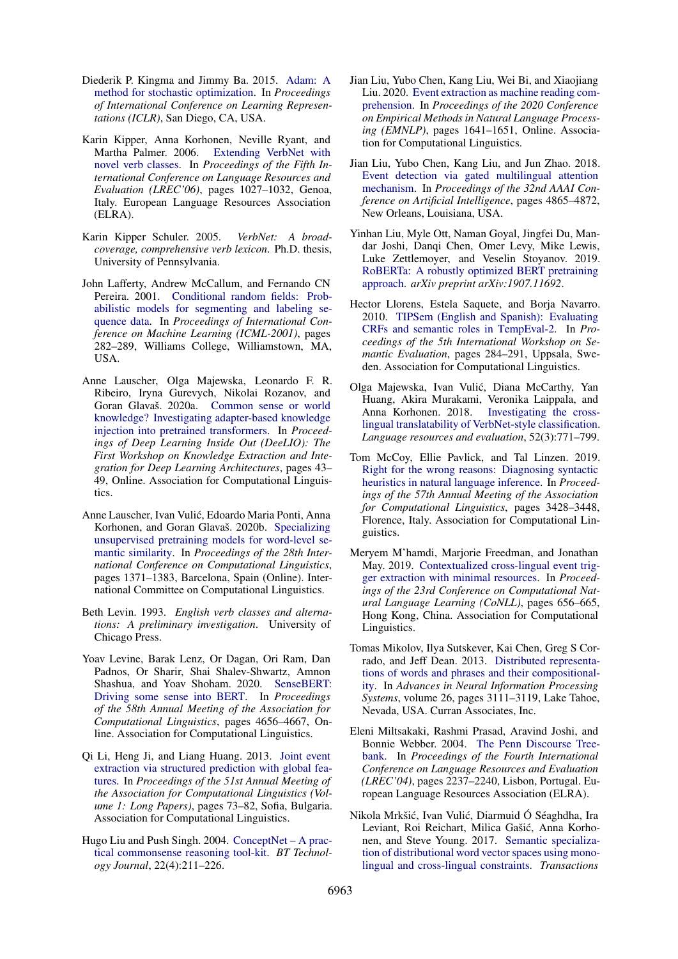- <span id="page-11-19"></span>Diederik P. Kingma and Jimmy Ba. 2015. [Adam: A](https://arxiv.org/pdf/1412.6980.pdf) [method for stochastic optimization.](https://arxiv.org/pdf/1412.6980.pdf) In *Proceedings of International Conference on Learning Representations (ICLR)*, San Diego, CA, USA.
- <span id="page-11-8"></span>Karin Kipper, Anna Korhonen, Neville Ryant, and Martha Palmer. 2006. [Extending VerbNet with](http://www.lrec-conf.org/proceedings/lrec2006/pdf/468_pdf.pdf) [novel verb classes.](http://www.lrec-conf.org/proceedings/lrec2006/pdf/468_pdf.pdf) In *Proceedings of the Fifth International Conference on Language Resources and Evaluation (LREC'06)*, pages 1027–1032, Genoa, Italy. European Language Resources Association (ELRA).
- <span id="page-11-7"></span>Karin Kipper Schuler. 2005. *VerbNet: A broadcoverage, comprehensive verb lexicon*. Ph.D. thesis, University of Pennsylvania.
- <span id="page-11-11"></span>John Lafferty, Andrew McCallum, and Fernando CN Pereira. 2001. [Conditional random fields: Prob](https://dl.acm.org/doi/10.5555/645530.655813)[abilistic models for segmenting and labeling se](https://dl.acm.org/doi/10.5555/645530.655813)[quence data.](https://dl.acm.org/doi/10.5555/645530.655813) In *Proceedings of International Conference on Machine Learning (ICML-2001)*, pages 282–289, Williams College, Williamstown, MA, USA.
- <span id="page-11-18"></span>Anne Lauscher, Olga Majewska, Leonardo F. R. Ribeiro, Iryna Gurevych, Nikolai Rozanov, and Goran Glavaš. 2020a. [Common sense or world](https://doi.org/10.18653/v1/2020.deelio-1.5) [knowledge? Investigating adapter-based knowledge](https://doi.org/10.18653/v1/2020.deelio-1.5) [injection into pretrained transformers.](https://doi.org/10.18653/v1/2020.deelio-1.5) In *Proceedings of Deep Learning Inside Out (DeeLIO): The First Workshop on Knowledge Extraction and Integration for Deep Learning Architectures*, pages 43– 49, Online. Association for Computational Linguistics.
- <span id="page-11-5"></span>Anne Lauscher, Ivan Vulic, Edoardo Maria Ponti, Anna ´ Korhonen, and Goran Glavaš. 2020b. [Specializing](https://www.aclweb.org/anthology/2020.coling-main.118) [unsupervised pretraining models for word-level se](https://www.aclweb.org/anthology/2020.coling-main.118)[mantic similarity.](https://www.aclweb.org/anthology/2020.coling-main.118) In *Proceedings of the 28th International Conference on Computational Linguistics*, pages 1371–1383, Barcelona, Spain (Online). International Committee on Computational Linguistics.
- <span id="page-11-3"></span>Beth Levin. 1993. *English verb classes and alternations: A preliminary investigation*. University of Chicago Press.
- <span id="page-11-4"></span>Yoav Levine, Barak Lenz, Or Dagan, Ori Ram, Dan Padnos, Or Sharir, Shai Shalev-Shwartz, Amnon Shashua, and Yoav Shoham. 2020. [SenseBERT:](https://doi.org/10.18653/v1/2020.acl-main.423) [Driving some sense into BERT.](https://doi.org/10.18653/v1/2020.acl-main.423) In *Proceedings of the 58th Annual Meeting of the Association for Computational Linguistics*, pages 4656–4667, Online. Association for Computational Linguistics.
- <span id="page-11-14"></span>Qi Li, Heng Ji, and Liang Huang. 2013. [Joint event](https://www.aclweb.org/anthology/P13-1008) [extraction via structured prediction with global fea](https://www.aclweb.org/anthology/P13-1008)[tures.](https://www.aclweb.org/anthology/P13-1008) In *Proceedings of the 51st Annual Meeting of the Association for Computational Linguistics (Volume 1: Long Papers)*, pages 73–82, Sofia, Bulgaria. Association for Computational Linguistics.
- <span id="page-11-17"></span>Hugo Liu and Push Singh. 2004. [ConceptNet – A prac](http://alumni.media.mit.edu/~hugo/publications/papers/BTTJ-ConceptNet.pdf)[tical commonsense reasoning tool-kit.](http://alumni.media.mit.edu/~hugo/publications/papers/BTTJ-ConceptNet.pdf) *BT Technology Journal*, 22(4):211–226.
- <span id="page-11-15"></span>Jian Liu, Yubo Chen, Kang Liu, Wei Bi, and Xiaojiang Liu. 2020. [Event extraction as machine reading com](https://doi.org/10.18653/v1/2020.emnlp-main.128)[prehension.](https://doi.org/10.18653/v1/2020.emnlp-main.128) In *Proceedings of the 2020 Conference on Empirical Methods in Natural Language Processing (EMNLP)*, pages 1641–1651, Online. Association for Computational Linguistics.
- <span id="page-11-12"></span>Jian Liu, Yubo Chen, Kang Liu, and Jun Zhao. 2018. [Event detection via gated multilingual attention](https://www.aaai.org/ocs/index.php/AAAI/AAAI18/paper/view/16371) [mechanism.](https://www.aaai.org/ocs/index.php/AAAI/AAAI18/paper/view/16371) In *Proceedings of the 32nd AAAI Conference on Artificial Intelligence*, pages 4865–4872, New Orleans, Louisiana, USA.
- <span id="page-11-0"></span>Yinhan Liu, Myle Ott, Naman Goyal, Jingfei Du, Mandar Joshi, Danqi Chen, Omer Levy, Mike Lewis, Luke Zettlemoyer, and Veselin Stoyanov. 2019. [RoBERTa: A robustly optimized BERT pretraining](https://arxiv.org/abs/1907.11692) [approach.](https://arxiv.org/abs/1907.11692) *arXiv preprint arXiv:1907.11692*.
- <span id="page-11-13"></span>Hector Llorens, Estela Saquete, and Borja Navarro. 2010. [TIPSem \(English and Spanish\): Evaluating](https://www.aclweb.org/anthology/S10-1063) [CRFs and semantic roles in TempEval-2.](https://www.aclweb.org/anthology/S10-1063) In *Proceedings of the 5th International Workshop on Semantic Evaluation*, pages 284–291, Uppsala, Sweden. Association for Computational Linguistics.
- <span id="page-11-9"></span>Olga Majewska, Ivan Vulic, Diana McCarthy, Yan ´ Huang, Akira Murakami, Veronika Laippala, and Anna Korhonen. 2018. [Investigating the cross](https://link.springer.com/article/10.1007/s10579-017-9403-x)[lingual translatability of VerbNet-style classification.](https://link.springer.com/article/10.1007/s10579-017-9403-x) *Language resources and evaluation*, 52(3):771–799.
- <span id="page-11-1"></span>Tom McCoy, Ellie Pavlick, and Tal Linzen. 2019. [Right for the wrong reasons: Diagnosing syntactic](https://doi.org/10.18653/v1/P19-1334) [heuristics in natural language inference.](https://doi.org/10.18653/v1/P19-1334) In *Proceedings of the 57th Annual Meeting of the Association for Computational Linguistics*, pages 3428–3448, Florence, Italy. Association for Computational Linguistics.
- <span id="page-11-10"></span>Meryem M'hamdi, Marjorie Freedman, and Jonathan May. 2019. [Contextualized cross-lingual event trig](https://doi.org/10.18653/v1/K19-1061)[ger extraction with minimal resources.](https://doi.org/10.18653/v1/K19-1061) In *Proceedings of the 23rd Conference on Computational Natural Language Learning (CoNLL)*, pages 656–665, Hong Kong, China. Association for Computational Linguistics.
- <span id="page-11-16"></span>Tomas Mikolov, Ilya Sutskever, Kai Chen, Greg S Corrado, and Jeff Dean. 2013. [Distributed representa](https://proceedings.neurips.cc/paper/2013/file/9aa42b31882ec039965f3c4923ce901b-Paper.pdf)[tions of words and phrases and their compositional](https://proceedings.neurips.cc/paper/2013/file/9aa42b31882ec039965f3c4923ce901b-Paper.pdf)[ity.](https://proceedings.neurips.cc/paper/2013/file/9aa42b31882ec039965f3c4923ce901b-Paper.pdf) In *Advances in Neural Information Processing Systems*, volume 26, pages 3111–3119, Lake Tahoe, Nevada, USA. Curran Associates, Inc.
- <span id="page-11-2"></span>Eleni Miltsakaki, Rashmi Prasad, Aravind Joshi, and Bonnie Webber. 2004. [The Penn Discourse Tree](http://www.lrec-conf.org/proceedings/lrec2004/pdf/618.pdf)[bank.](http://www.lrec-conf.org/proceedings/lrec2004/pdf/618.pdf) In *Proceedings of the Fourth International Conference on Language Resources and Evaluation (LREC'04)*, pages 2237–2240, Lisbon, Portugal. European Language Resources Association (ELRA).
- <span id="page-11-6"></span>Nikola Mrkšić, Ivan Vulić, Diarmuid Ó Séaghdha, Ira Leviant, Roi Reichart, Milica Gašić, Anna Korhonen, and Steve Young. 2017. [Semantic specializa](https://doi.org/10.1162/tacl_a_00063)[tion of distributional word vector spaces using mono](https://doi.org/10.1162/tacl_a_00063)[lingual and cross-lingual constraints.](https://doi.org/10.1162/tacl_a_00063) *Transactions*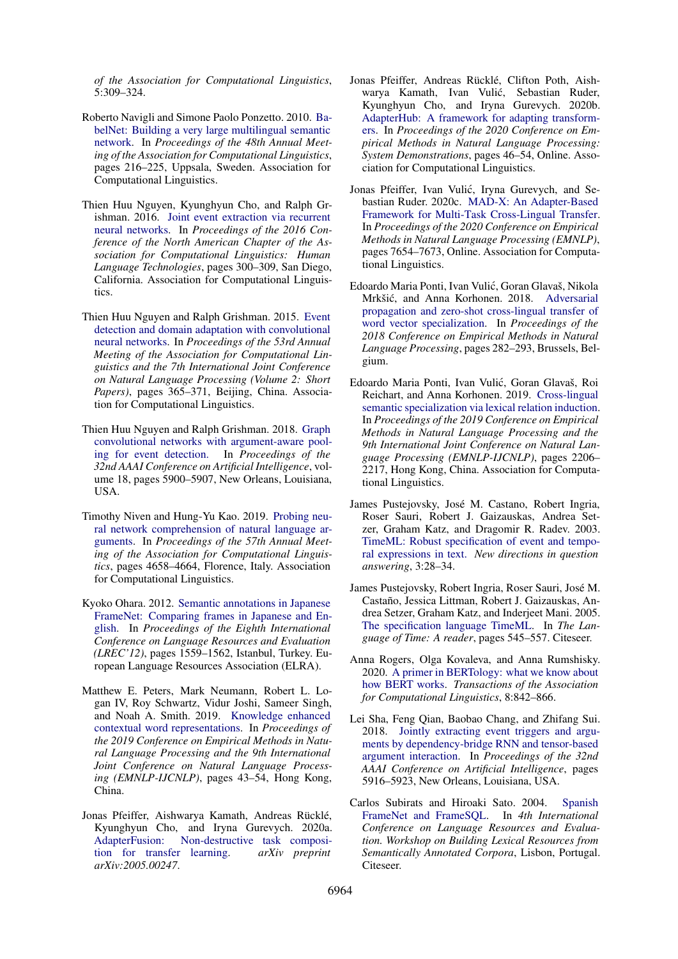*of the Association for Computational Linguistics*, 5:309–324.

- <span id="page-12-15"></span>Roberto Navigli and Simone Paolo Ponzetto. 2010. [Ba](https://www.aclweb.org/anthology/P10-1023)[belNet: Building a very large multilingual semantic](https://www.aclweb.org/anthology/P10-1023) [network.](https://www.aclweb.org/anthology/P10-1023) In *Proceedings of the 48th Annual Meeting of the Association for Computational Linguistics*, pages 216–225, Uppsala, Sweden. Association for Computational Linguistics.
- <span id="page-12-11"></span>Thien Huu Nguyen, Kyunghyun Cho, and Ralph Grishman. 2016. [Joint event extraction via recurrent](https://doi.org/10.18653/v1/N16-1034) [neural networks.](https://doi.org/10.18653/v1/N16-1034) In *Proceedings of the 2016 Conference of the North American Chapter of the Association for Computational Linguistics: Human Language Technologies*, pages 300–309, San Diego, California. Association for Computational Linguistics.
- <span id="page-12-13"></span>Thien Huu Nguyen and Ralph Grishman. 2015. [Event](https://doi.org/10.3115/v1/P15-2060) [detection and domain adaptation with convolutional](https://doi.org/10.3115/v1/P15-2060) [neural networks.](https://doi.org/10.3115/v1/P15-2060) In *Proceedings of the 53rd Annual Meeting of the Association for Computational Linguistics and the 7th International Joint Conference on Natural Language Processing (Volume 2: Short Papers)*, pages 365–371, Beijing, China. Association for Computational Linguistics.
- <span id="page-12-14"></span>Thien Huu Nguyen and Ralph Grishman. 2018. [Graph](http://ix.cs.uoregon.edu/~thien/pubs/graphConv.pdf) [convolutional networks with argument-aware pool](http://ix.cs.uoregon.edu/~thien/pubs/graphConv.pdf)[ing for event detection.](http://ix.cs.uoregon.edu/~thien/pubs/graphConv.pdf) In *Proceedings of the 32nd AAAI Conference on Artificial Intelligence*, volume 18, pages 5900–5907, New Orleans, Louisiana, USA.
- <span id="page-12-1"></span>Timothy Niven and Hung-Yu Kao. 2019. [Probing neu](https://doi.org/10.18653/v1/P19-1459)[ral network comprehension of natural language ar](https://doi.org/10.18653/v1/P19-1459)[guments.](https://doi.org/10.18653/v1/P19-1459) In *Proceedings of the 57th Annual Meeting of the Association for Computational Linguistics*, pages 4658–4664, Florence, Italy. Association for Computational Linguistics.
- <span id="page-12-6"></span>Kyoko Ohara. 2012. [Semantic annotations in Japanese](http://www.lrec-conf.org/proceedings/lrec2012/pdf/1053_Paper.pdf) [FrameNet: Comparing frames in Japanese and En](http://www.lrec-conf.org/proceedings/lrec2012/pdf/1053_Paper.pdf)[glish.](http://www.lrec-conf.org/proceedings/lrec2012/pdf/1053_Paper.pdf) In *Proceedings of the Eighth International Conference on Language Resources and Evaluation (LREC'12)*, pages 1559–1562, Istanbul, Turkey. European Language Resources Association (ELRA).
- <span id="page-12-2"></span>Matthew E. Peters, Mark Neumann, Robert L. Logan IV, Roy Schwartz, Vidur Joshi, Sameer Singh, and Noah A. Smith. 2019. [Knowledge enhanced](https://www.aclweb.org/anthology/D19-1005.pdf) [contextual word representations.](https://www.aclweb.org/anthology/D19-1005.pdf) In *Proceedings of the 2019 Conference on Empirical Methods in Natural Language Processing and the 9th International Joint Conference on Natural Language Processing (EMNLP-IJCNLP)*, pages 43–54, Hong Kong, China.
- <span id="page-12-7"></span>Jonas Pfeiffer, Aishwarya Kamath, Andreas Rücklé, Kyunghyun Cho, and Iryna Gurevych. 2020a. [AdapterFusion: Non-destructive task composi](https://arxiv.org/abs/2005.00247)[tion for transfer learning.](https://arxiv.org/abs/2005.00247) *arXiv preprint arXiv:2005.00247*.
- <span id="page-12-3"></span>Jonas Pfeiffer, Andreas Rücklé, Clifton Poth, Aishwarya Kamath, Ivan Vulić, Sebastian Ruder, Kyunghyun Cho, and Iryna Gurevych. 2020b. [AdapterHub: A framework for adapting transform](https://doi.org/10.18653/v1/2020.emnlp-demos.7)[ers.](https://doi.org/10.18653/v1/2020.emnlp-demos.7) In *Proceedings of the 2020 Conference on Empirical Methods in Natural Language Processing: System Demonstrations*, pages 46–54, Online. Association for Computational Linguistics.
- <span id="page-12-8"></span>Jonas Pfeiffer, Ivan Vulic, Iryna Gurevych, and Se- ´ bastian Ruder. 2020c. [MAD-X: An Adapter-Based](https://doi.org/10.18653/v1/2020.emnlp-main.617) [Framework for Multi-Task Cross-Lingual Transfer.](https://doi.org/10.18653/v1/2020.emnlp-main.617) In *Proceedings of the 2020 Conference on Empirical Methods in Natural Language Processing (EMNLP)*, pages 7654–7673, Online. Association for Computational Linguistics.
- <span id="page-12-16"></span>Edoardo Maria Ponti, Ivan Vulic, Goran Glavaš, Nikola ´ Mrkšić, and Anna Korhonen. 2018. [Adversarial](https://www.aclweb.org/anthology/D18-1026.pdf) [propagation and zero-shot cross-lingual transfer of](https://www.aclweb.org/anthology/D18-1026.pdf) [word vector specialization.](https://www.aclweb.org/anthology/D18-1026.pdf) In *Proceedings of the 2018 Conference on Empirical Methods in Natural Language Processing*, pages 282–293, Brussels, Belgium.
- <span id="page-12-4"></span>Edoardo Maria Ponti, Ivan Vulic, Goran Glavaš, Roi ´ Reichart, and Anna Korhonen. 2019. [Cross-lingual](https://doi.org/10.18653/v1/D19-1226) [semantic specialization via lexical relation induction.](https://doi.org/10.18653/v1/D19-1226) In *Proceedings of the 2019 Conference on Empirical Methods in Natural Language Processing and the 9th International Joint Conference on Natural Language Processing (EMNLP-IJCNLP)*, pages 2206– 2217, Hong Kong, China. Association for Computational Linguistics.
- <span id="page-12-9"></span>James Pustejovsky, José M. Castano, Robert Ingria, Roser Sauri, Robert J. Gaizauskas, Andrea Setzer, Graham Katz, and Dragomir R. Radev. 2003. [TimeML: Robust specification of event and tempo](https://www.aaai.org/Papers/Symposia/Spring/2003/SS-03-07/SS03-07-005.pdf)[ral expressions in text.](https://www.aaai.org/Papers/Symposia/Spring/2003/SS-03-07/SS03-07-005.pdf) *New directions in question answering*, 3:28–34.
- <span id="page-12-10"></span>James Pustejovsky, Robert Ingria, Roser Sauri, José M. Castaño, Jessica Littman, Robert J. Gaizauskas, Andrea Setzer, Graham Katz, and Inderjeet Mani. 2005. [The specification language TimeML.](http://citeseerx.ist.psu.edu/viewdoc/download?doi=10.1.1.85.5610&rep=rep1&type=pdf) In *The Language of Time: A reader*, pages 545–557. Citeseer.
- <span id="page-12-0"></span>Anna Rogers, Olga Kovaleva, and Anna Rumshisky. 2020. [A primer in BERTology: what we know about](https://doi.org/https://doi.org/10.1162/tacl_a_00349) [how BERT works.](https://doi.org/https://doi.org/10.1162/tacl_a_00349) *Transactions of the Association for Computational Linguistics*, 8:842–866.
- <span id="page-12-12"></span>Lei Sha, Feng Qian, Baobao Chang, and Zhifang Sui. 2018. [Jointly extracting event triggers and argu](https://aaai.org/ocs/index.php/AAAI/AAAI18/paper/view/16222/16157)[ments by dependency-bridge RNN and tensor-based](https://aaai.org/ocs/index.php/AAAI/AAAI18/paper/view/16222/16157) [argument interaction.](https://aaai.org/ocs/index.php/AAAI/AAAI18/paper/view/16222/16157) In *Proceedings of the 32nd AAAI Conference on Artificial Intelligence*, pages 5916–5923, New Orleans, Louisiana, USA.
- <span id="page-12-5"></span>Carlos Subirats and Hiroaki Sato. 2004. [Spanish](http://citeseerx.ist.psu.edu/viewdoc/download?doi=10.1.1.180.7650&rep=rep1&type=pdf) [FrameNet and FrameSQL.](http://citeseerx.ist.psu.edu/viewdoc/download?doi=10.1.1.180.7650&rep=rep1&type=pdf) In *4th International Conference on Language Resources and Evaluation. Workshop on Building Lexical Resources from Semantically Annotated Corpora*, Lisbon, Portugal. Citeseer.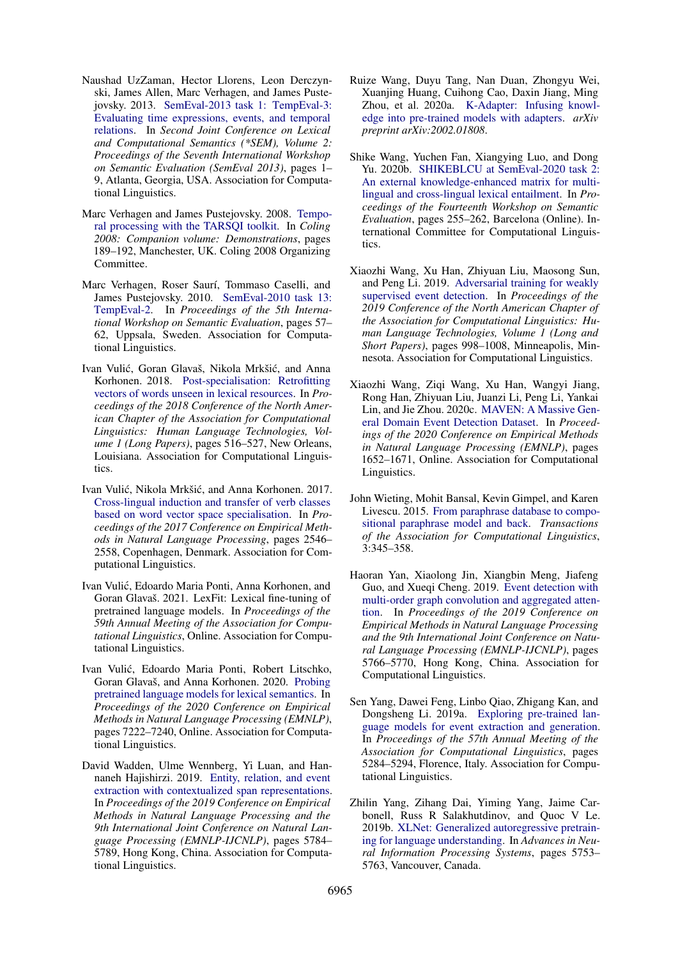- <span id="page-13-2"></span>Naushad UzZaman, Hector Llorens, Leon Derczynski, James Allen, Marc Verhagen, and James Pustejovsky. 2013. [SemEval-2013 task 1: TempEval-3:](https://www.aclweb.org/anthology/S13-2001) [Evaluating time expressions, events, and temporal](https://www.aclweb.org/anthology/S13-2001) [relations.](https://www.aclweb.org/anthology/S13-2001) In *Second Joint Conference on Lexical and Computational Semantics (\*SEM), Volume 2: Proceedings of the Seventh International Workshop on Semantic Evaluation (SemEval 2013)*, pages 1– 9, Atlanta, Georgia, USA. Association for Computational Linguistics.
- <span id="page-13-15"></span>Marc Verhagen and James Pustejovsky. 2008. [Tempo](https://www.aclweb.org/anthology/C08-3012)[ral processing with the TARSQI toolkit.](https://www.aclweb.org/anthology/C08-3012) In *Coling 2008: Companion volume: Demonstrations*, pages 189–192, Manchester, UK. Coling 2008 Organizing Committee.
- <span id="page-13-7"></span>Marc Verhagen, Roser Saurí, Tommaso Caselli, and James Pustejovsky. 2010. [SemEval-2010 task 13:](https://www.aclweb.org/anthology/S10-1010) [TempEval-2.](https://www.aclweb.org/anthology/S10-1010) In *Proceedings of the 5th International Workshop on Semantic Evaluation*, pages 57– 62, Uppsala, Sweden. Association for Computational Linguistics.
- <span id="page-13-13"></span>Ivan Vulić, Goran Glavaš, Nikola Mrkšić, and Anna Korhonen. 2018. [Post-specialisation: Retrofitting](https://doi.org/10.18653/v1/N18-1048) [vectors of words unseen in lexical resources.](https://doi.org/10.18653/v1/N18-1048) In *Proceedings of the 2018 Conference of the North American Chapter of the Association for Computational Linguistics: Human Language Technologies, Volume 1 (Long Papers)*, pages 516–527, New Orleans, Louisiana. Association for Computational Linguistics.
- <span id="page-13-3"></span>Ivan Vulić, Nikola Mrkšić, and Anna Korhonen. 2017. [Cross-lingual induction and transfer of verb classes](https://doi.org/10.18653/v1/D17-1270) [based on word vector space specialisation.](https://doi.org/10.18653/v1/D17-1270) In *Proceedings of the 2017 Conference on Empirical Methods in Natural Language Processing*, pages 2546– 2558, Copenhagen, Denmark. Association for Computational Linguistics.
- <span id="page-13-12"></span>Ivan Vulic, Edoardo Maria Ponti, Anna Korhonen, and ´ Goran Glavaš. 2021. LexFit: Lexical fine-tuning of pretrained language models. In *Proceedings of the 59th Annual Meeting of the Association for Computational Linguistics*, Online. Association for Computational Linguistics.
- <span id="page-13-1"></span>Ivan Vulic, Edoardo Maria Ponti, Robert Litschko, ´ Goran Glavaš, and Anna Korhonen. 2020. [Probing](https://doi.org/10.18653/v1/2020.emnlp-main.586) [pretrained language models for lexical semantics.](https://doi.org/10.18653/v1/2020.emnlp-main.586) In *Proceedings of the 2020 Conference on Empirical Methods in Natural Language Processing (EMNLP)*, pages 7222–7240, Online. Association for Computational Linguistics.
- <span id="page-13-10"></span>David Wadden, Ulme Wennberg, Yi Luan, and Hannaneh Hajishirzi. 2019. [Entity, relation, and event](https://www.aclweb.org/anthology/D19-1585.pdf) [extraction with contextualized span representations.](https://www.aclweb.org/anthology/D19-1585.pdf) In *Proceedings of the 2019 Conference on Empirical Methods in Natural Language Processing and the 9th International Joint Conference on Natural Language Processing (EMNLP-IJCNLP)*, pages 5784– 5789, Hong Kong, China. Association for Computational Linguistics.
- <span id="page-13-14"></span>Ruize Wang, Duyu Tang, Nan Duan, Zhongyu Wei, Xuanjing Huang, Cuihong Cao, Daxin Jiang, Ming Zhou, et al. 2020a. [K-Adapter: Infusing knowl](https://arxiv.org/abs/2002.01808)[edge into pre-trained models with adapters.](https://arxiv.org/abs/2002.01808) *arXiv preprint arXiv:2002.01808*.
- <span id="page-13-6"></span>Shike Wang, Yuchen Fan, Xiangying Luo, and Dong Yu. 2020b. [SHIKEBLCU at SemEval-2020 task 2:](https://www.aclweb.org/anthology/2020.semeval-1.31) [An external knowledge-enhanced matrix for multi](https://www.aclweb.org/anthology/2020.semeval-1.31)[lingual and cross-lingual lexical entailment.](https://www.aclweb.org/anthology/2020.semeval-1.31) In *Proceedings of the Fourteenth Workshop on Semantic Evaluation*, pages 255–262, Barcelona (Online). International Committee for Computational Linguistics.
- <span id="page-13-5"></span>Xiaozhi Wang, Xu Han, Zhiyuan Liu, Maosong Sun, and Peng Li. 2019. [Adversarial training for weakly](https://doi.org/10.18653/v1/N19-1105) [supervised event detection.](https://doi.org/10.18653/v1/N19-1105) In *Proceedings of the 2019 Conference of the North American Chapter of the Association for Computational Linguistics: Human Language Technologies, Volume 1 (Long and Short Papers)*, pages 998–1008, Minneapolis, Minnesota. Association for Computational Linguistics.
- <span id="page-13-11"></span>Xiaozhi Wang, Ziqi Wang, Xu Han, Wangyi Jiang, Rong Han, Zhiyuan Liu, Juanzi Li, Peng Li, Yankai Lin, and Jie Zhou. 2020c. [MAVEN: A Massive Gen](https://doi.org/10.18653/v1/2020.emnlp-main.129)[eral Domain Event Detection Dataset.](https://doi.org/10.18653/v1/2020.emnlp-main.129) In *Proceedings of the 2020 Conference on Empirical Methods in Natural Language Processing (EMNLP)*, pages 1652–1671, Online. Association for Computational Linguistics.
- <span id="page-13-4"></span>John Wieting, Mohit Bansal, Kevin Gimpel, and Karen Livescu. 2015. [From paraphrase database to compo](https://doi.org/10.1162/tacl_a_00143)[sitional paraphrase model and back.](https://doi.org/10.1162/tacl_a_00143) *Transactions of the Association for Computational Linguistics*, 3:345–358.
- <span id="page-13-8"></span>Haoran Yan, Xiaolong Jin, Xiangbin Meng, Jiafeng Guo, and Xueqi Cheng. 2019. [Event detection with](https://doi.org/10.18653/v1/D19-1582) [multi-order graph convolution and aggregated atten](https://doi.org/10.18653/v1/D19-1582)[tion.](https://doi.org/10.18653/v1/D19-1582) In *Proceedings of the 2019 Conference on Empirical Methods in Natural Language Processing and the 9th International Joint Conference on Natural Language Processing (EMNLP-IJCNLP)*, pages 5766–5770, Hong Kong, China. Association for Computational Linguistics.
- <span id="page-13-9"></span>Sen Yang, Dawei Feng, Linbo Qiao, Zhigang Kan, and Dongsheng Li. 2019a. [Exploring pre-trained lan](https://doi.org/10.18653/v1/P19-1522)[guage models for event extraction and generation.](https://doi.org/10.18653/v1/P19-1522) In *Proceedings of the 57th Annual Meeting of the Association for Computational Linguistics*, pages 5284–5294, Florence, Italy. Association for Computational Linguistics.
- <span id="page-13-0"></span>Zhilin Yang, Zihang Dai, Yiming Yang, Jaime Carbonell, Russ R Salakhutdinov, and Quoc V Le. 2019b. [XLNet: Generalized autoregressive pretrain](https://papers.nips.cc/paper/2019/file/dc6a7e655d7e5840e66733e9ee67cc69-Paper.pdf)[ing for language understanding.](https://papers.nips.cc/paper/2019/file/dc6a7e655d7e5840e66733e9ee67cc69-Paper.pdf) In *Advances in Neural Information Processing Systems*, pages 5753– 5763, Vancouver, Canada.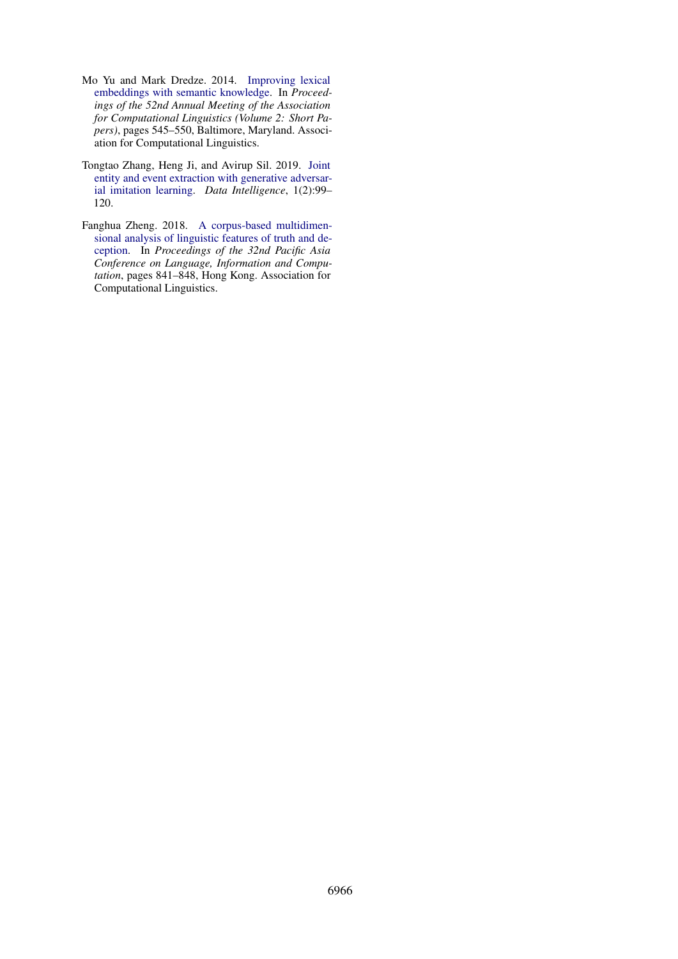- <span id="page-14-2"></span>Mo Yu and Mark Dredze. 2014. [Improving lexical](https://doi.org/10.3115/v1/P14-2089) [embeddings with semantic knowledge.](https://doi.org/10.3115/v1/P14-2089) In *Proceedings of the 52nd Annual Meeting of the Association for Computational Linguistics (Volume 2: Short Papers)*, pages 545–550, Baltimore, Maryland. Association for Computational Linguistics.
- <span id="page-14-0"></span>Tongtao Zhang, Heng Ji, and Avirup Sil. 2019. [Joint](https://doi.org/10.1162/dint_a_00014) [entity and event extraction with generative adversar](https://doi.org/10.1162/dint_a_00014)[ial imitation learning.](https://doi.org/10.1162/dint_a_00014) *Data Intelligence*, 1(2):99– 120.
- <span id="page-14-1"></span>Fanghua Zheng. 2018. [A corpus-based multidimen](https://www.aclweb.org/anthology/Y18-1097)[sional analysis of linguistic features of truth and de](https://www.aclweb.org/anthology/Y18-1097)[ception.](https://www.aclweb.org/anthology/Y18-1097) In *Proceedings of the 32nd Pacific Asia Conference on Language, Information and Computation*, pages 841–848, Hong Kong. Association for Computational Linguistics.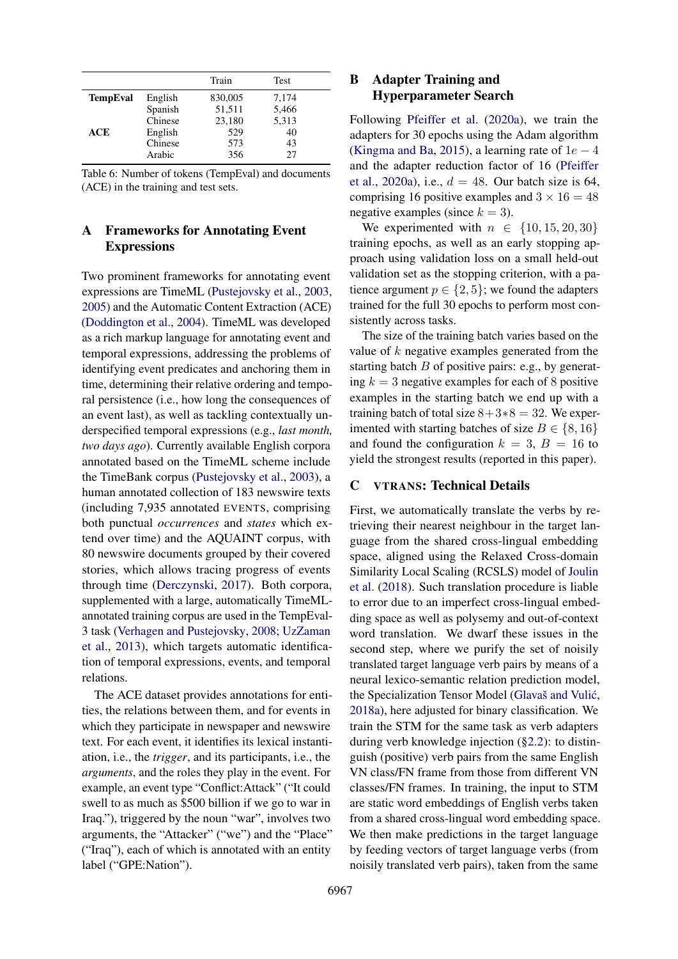<span id="page-15-1"></span>

|                 |         | Train   | <b>Test</b> |
|-----------------|---------|---------|-------------|
| <b>TempEval</b> | English | 830,005 | 7,174       |
|                 | Spanish | 51,511  | 5,466       |
|                 | Chinese | 23,180  | 5,313       |
| ACE             | English | 529     | 40          |
|                 | Chinese | 573     | 43          |
|                 | Arabic  | 356     | 27          |

Table 6: Number of tokens (TempEval) and documents (ACE) in the training and test sets.

# <span id="page-15-2"></span>A Frameworks for Annotating Event **Expressions**

Two prominent frameworks for annotating event expressions are TimeML [\(Pustejovsky et al.,](#page-12-9) [2003,](#page-12-9) [2005\)](#page-12-10) and the Automatic Content Extraction (ACE) [\(Doddington et al.,](#page-9-3) [2004\)](#page-9-3). TimeML was developed as a rich markup language for annotating event and temporal expressions, addressing the problems of identifying event predicates and anchoring them in time, determining their relative ordering and temporal persistence (i.e., how long the consequences of an event last), as well as tackling contextually underspecified temporal expressions (e.g., *last month, two days ago*). Currently available English corpora annotated based on the TimeML scheme include the TimeBank corpus [\(Pustejovsky et al.,](#page-12-9) [2003\)](#page-12-9), a human annotated collection of 183 newswire texts (including 7,935 annotated EVENTS, comprising both punctual *occurrences* and *states* which extend over time) and the AQUAINT corpus, with 80 newswire documents grouped by their covered stories, which allows tracing progress of events through time [\(Derczynski,](#page-9-18) [2017\)](#page-9-18). Both corpora, supplemented with a large, automatically TimeMLannotated training corpus are used in the TempEval-3 task [\(Verhagen and Pustejovsky,](#page-13-15) [2008;](#page-13-15) [UzZaman](#page-13-2) [et al.,](#page-13-2) [2013\)](#page-13-2), which targets automatic identification of temporal expressions, events, and temporal relations.

The ACE dataset provides annotations for entities, the relations between them, and for events in which they participate in newspaper and newswire text. For each event, it identifies its lexical instantiation, i.e., the *trigger*, and its participants, i.e., the *arguments*, and the roles they play in the event. For example, an event type "Conflict:Attack" ("It could swell to as much as \$500 billion if we go to war in Iraq."), triggered by the noun "war", involves two arguments, the "Attacker" ("we") and the "Place" ("Iraq"), each of which is annotated with an entity label ("GPE:Nation").

# <span id="page-15-3"></span>B Adapter Training and Hyperparameter Search

Following [Pfeiffer et al.](#page-12-7) [\(2020a\)](#page-12-7), we train the adapters for 30 epochs using the Adam algorithm [\(Kingma and Ba,](#page-11-19) [2015\)](#page-11-19), a learning rate of  $1e - 4$ and the adapter reduction factor of 16 [\(Pfeiffer](#page-12-7) [et al.,](#page-12-7) [2020a\)](#page-12-7), i.e.,  $d = 48$ . Our batch size is 64, comprising 16 positive examples and  $3 \times 16 = 48$ negative examples (since  $k = 3$ ).

We experimented with  $n \in \{10, 15, 20, 30\}$ training epochs, as well as an early stopping approach using validation loss on a small held-out validation set as the stopping criterion, with a patience argument  $p \in \{2, 5\}$ ; we found the adapters trained for the full 30 epochs to perform most consistently across tasks.

The size of the training batch varies based on the value of k negative examples generated from the starting batch  $B$  of positive pairs: e.g., by generating  $k = 3$  negative examples for each of 8 positive examples in the starting batch we end up with a training batch of total size  $8+3*8 = 32$ . We experimented with starting batches of size  $B \in \{8, 16\}$ and found the configuration  $k = 3$ ,  $B = 16$  to yield the strongest results (reported in this paper).

## <span id="page-15-0"></span>C VTRANS: Technical Details

First, we automatically translate the verbs by retrieving their nearest neighbour in the target language from the shared cross-lingual embedding space, aligned using the Relaxed Cross-domain Similarity Local Scaling (RCSLS) model of [Joulin](#page-10-17) [et al.](#page-10-17) [\(2018\)](#page-10-17). Such translation procedure is liable to error due to an imperfect cross-lingual embedding space as well as polysemy and out-of-context word translation. We dwarf these issues in the second step, where we purify the set of noisily translated target language verb pairs by means of a neural lexico-semantic relation prediction model, the Specialization Tensor Model (Glavaš and Vulić, [2018a\)](#page-10-18), here adjusted for binary classification. We train the STM for the same task as verb adapters during verb knowledge injection ([§2.2\)](#page-2-0): to distinguish (positive) verb pairs from the same English VN class/FN frame from those from different VN classes/FN frames. In training, the input to STM are static word embeddings of English verbs taken from a shared cross-lingual word embedding space. We then make predictions in the target language by feeding vectors of target language verbs (from noisily translated verb pairs), taken from the same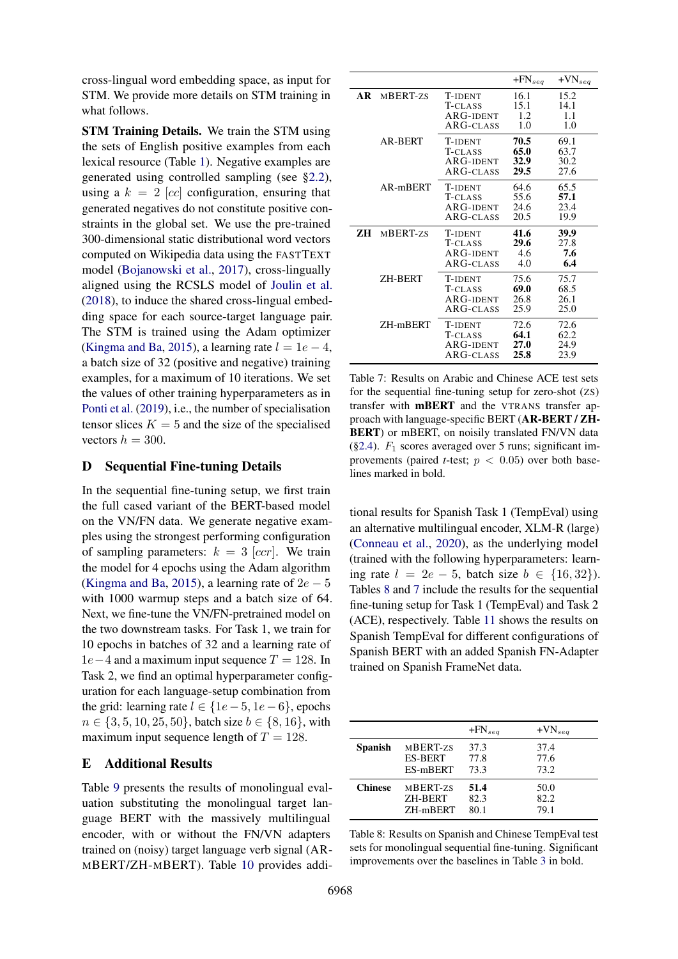cross-lingual word embedding space, as input for STM. We provide more details on STM training in what follows.

STM Training Details. We train the STM using the sets of English positive examples from each lexical resource (Table [1\)](#page-3-3). Negative examples are generated using controlled sampling (see [§2.2\)](#page-2-0), using a  $k = 2$  [cc] configuration, ensuring that generated negatives do not constitute positive constraints in the global set. We use the pre-trained 300-dimensional static distributional word vectors computed on Wikipedia data using the FASTTEXT model [\(Bojanowski et al.,](#page-9-15) [2017\)](#page-9-15), cross-lingually aligned using the RCSLS model of [Joulin et al.](#page-10-17) [\(2018\)](#page-10-17), to induce the shared cross-lingual embedding space for each source-target language pair. The STM is trained using the Adam optimizer [\(Kingma and Ba,](#page-11-19) [2015\)](#page-11-19), a learning rate  $l = 1e - 4$ , a batch size of 32 (positive and negative) training examples, for a maximum of 10 iterations. We set the values of other training hyperparameters as in [Ponti et al.](#page-12-4) [\(2019\)](#page-12-4), i.e., the number of specialisation tensor slices  $K = 5$  and the size of the specialised vectors  $h = 300$ .

# <span id="page-16-0"></span>D Sequential Fine-tuning Details

In the sequential fine-tuning setup, we first train the full cased variant of the BERT-based model on the VN/FN data. We generate negative examples using the strongest performing configuration of sampling parameters:  $k = 3$  [ccr]. We train the model for 4 epochs using the Adam algorithm [\(Kingma and Ba,](#page-11-19) [2015\)](#page-11-19), a learning rate of  $2e - 5$ with 1000 warmup steps and a batch size of 64. Next, we fine-tune the VN/FN-pretrained model on the two downstream tasks. For Task 1, we train for 10 epochs in batches of 32 and a learning rate of  $1e-4$  and a maximum input sequence  $T = 128$ . In Task 2, we find an optimal hyperparameter configuration for each language-setup combination from the grid: learning rate  $l \in \{1e-5, 1e-6\}$ , epochs  $n \in \{3, 5, 10, 25, 50\}$ , batch size  $b \in \{8, 16\}$ , with maximum input sequence length of  $T = 128$ .

### <span id="page-16-1"></span>E Additional Results

Table [9](#page-17-0) presents the results of monolingual evaluation substituting the monolingual target language BERT with the massively multilingual encoder, with or without the FN/VN adapters trained on (noisy) target language verb signal (AR-MBERT/ZH-MBERT). Table [10](#page-17-1) provides addi-

<span id="page-16-3"></span>

|     |                |                                                       | $+FN_{seq}$                  | $+VN_{seq}$                  |
|-----|----------------|-------------------------------------------------------|------------------------------|------------------------------|
| AR. | MBERT-zs       | <b>T-IDENT</b><br>T-CLASS<br>ARG-IDENT<br>ARG-CLASS   | 16.1<br>15.1<br>1.2<br>1.0   | 15.2<br>14.1<br>1.1<br>1.0   |
|     | <b>AR-BERT</b> | <b>T-IDENT</b><br>T-CLASS<br>ARG-IDENT<br>ARG-CLASS   | 70.5<br>65.0<br>32.9<br>29.5 | 69.1<br>63.7<br>30.2<br>27.6 |
|     | AR-mBERT       | <b>T-IDENT</b><br>T-CLASS<br>ARG-IDENT<br>ARG-CLASS   | 64.6<br>55.6<br>24.6<br>20.5 | 65.5<br>57.1<br>23.4<br>19.9 |
| ZН  | MBERT-zs       | <b>T-IDENT</b><br>T-CLASS<br>ARG-IDENT<br>ARG-CLASS   | 41.6<br>29.6<br>4.6<br>4.0   | 39.9<br>27.8<br>7.6<br>6.4   |
|     | ZH-BERT        | <b>T-IDENT</b><br>T-CLASS<br>ARG-IDENT<br>$ARG-CLASS$ | 75.6<br>69.0<br>26.8<br>25.9 | 75.7<br>68.5<br>26.1<br>25.0 |
|     | ZH-mBERT       | <b>T-IDENT</b><br>T-CLASS<br>ARG-IDENT<br>ARG-CLASS   | 72.6<br>64.1<br>27.0<br>25.8 | 72.6<br>62.2<br>24.9<br>23.9 |

Table 7: Results on Arabic and Chinese ACE test sets for the sequential fine-tuning setup for zero-shot (ZS) transfer with mBERT and the VTRANS transfer approach with language-specific BERT (AR-BERT / ZH-BERT) or mBERT, on noisily translated FN/VN data  $(\S$ 2.4).  $F_1$  scores averaged over 5 runs; significant improvements (paired *t*-test;  $p < 0.05$ ) over both baselines marked in bold.

tional results for Spanish Task 1 (TempEval) using an alternative multilingual encoder, XLM-R (large) [\(Conneau et al.,](#page-9-8) [2020\)](#page-9-8), as the underlying model (trained with the following hyperparameters: learning rate  $l = 2e - 5$ , batch size  $b \in \{16, 32\}$ ). Tables [8](#page-16-2) and [7](#page-16-3) include the results for the sequential fine-tuning setup for Task 1 (TempEval) and Task 2 (ACE), respectively. Table [11](#page-17-2) shows the results on Spanish TempEval for different configurations of Spanish BERT with an added Spanish FN-Adapter trained on Spanish FrameNet data.

<span id="page-16-2"></span>

|                |                | $+FN_{sea}$ | $+VN_{sea}$ |
|----------------|----------------|-------------|-------------|
| <b>Spanish</b> | MBERT-zs       | 37.3        | 37.4        |
|                | <b>ES-BERT</b> | 77.8        | 77.6        |
|                | ES-mBERT       | 73.3        | 73.2        |
| <b>Chinese</b> | MBERT-zs       | 51.4        | 50.0        |
|                | <b>ZH-BERT</b> | 82.3        | 82.2        |
|                | ZH-mBERT       | 80.1        | 79.1        |

Table 8: Results on Spanish and Chinese TempEval test sets for monolingual sequential fine-tuning. Significant improvements over the baselines in Table [3](#page-6-1) in bold.